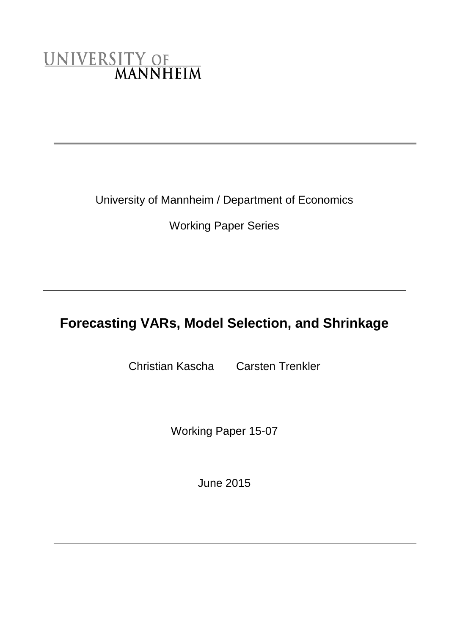# UNIVERSITY OF<br>MANNHEIM

University of Mannheim / Department of Economics

Working Paper Series

# **Forecasting VARs, Model Selection, and Shrinkage**

Christian Kascha Carsten Trenkler

Working Paper 15-07

June 2015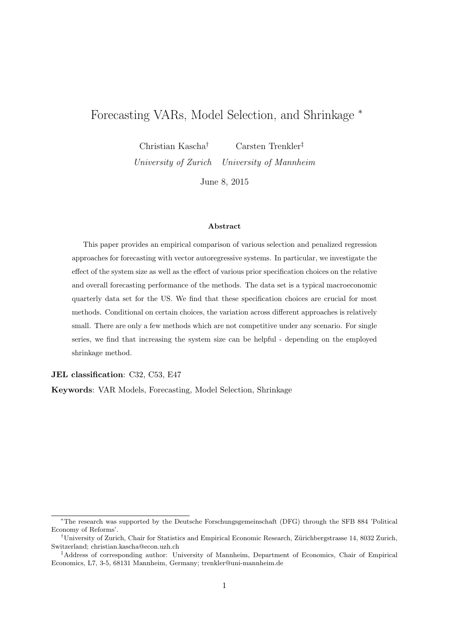# Forecasting VARs, Model Selection, and Shrinkage <sup>∗</sup>

Christian Kascha† Carsten Trenkler‡ University of Zurich University of Mannheim

June 8, 2015

#### Abstract

This paper provides an empirical comparison of various selection and penalized regression approaches for forecasting with vector autoregressive systems. In particular, we investigate the effect of the system size as well as the effect of various prior specification choices on the relative and overall forecasting performance of the methods. The data set is a typical macroeconomic quarterly data set for the US. We find that these specification choices are crucial for most methods. Conditional on certain choices, the variation across different approaches is relatively small. There are only a few methods which are not competitive under any scenario. For single series, we find that increasing the system size can be helpful - depending on the employed shrinkage method.

JEL classification: C32, C53, E47

Keywords: VAR Models, Forecasting, Model Selection, Shrinkage

<sup>∗</sup>The research was supported by the Deutsche Forschungsgemeinschaft (DFG) through the SFB 884 'Political Economy of Reforms'.

<sup>†</sup>University of Zurich, Chair for Statistics and Empirical Economic Research, Z¨urichbergstrasse 14, 8032 Zurich, Switzerland; christian.kascha@econ.uzh.ch

<sup>‡</sup>Address of corresponding author: University of Mannheim, Department of Economics, Chair of Empirical Economics, L7, 3-5, 68131 Mannheim, Germany; trenkler@uni-mannheim.de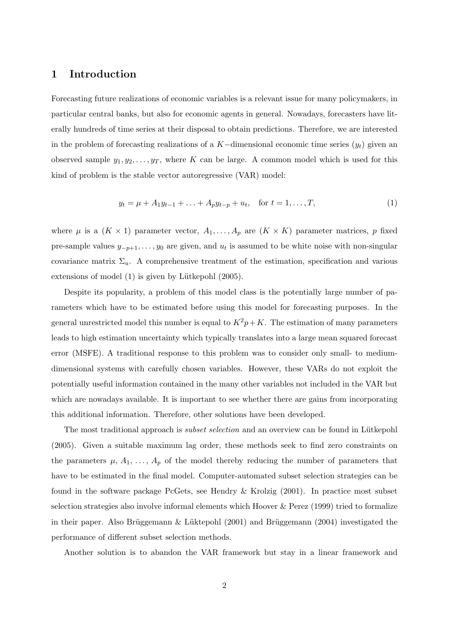# 1 Introduction

Forecasting future realizations of economic variables is a relevant issue for many policymakers, in particular central banks, but also for economic agents in general. Nowadays, forecasters have literally hundreds of time series at their disposal to obtain predictions. Therefore, we are interested in the problem of forecasting realizations of a K–dimensional economic time series  $(y_t)$  given an observed sample  $y_1, y_2, \ldots, y_T$ , where K can be large. A common model which is used for this kind of problem is the stable vector autoregressive (VAR) model:

$$
y_t = \mu + A_1 y_{t-1} + \ldots + A_p y_{t-p} + u_t, \quad \text{for } t = 1, \ldots, T,
$$
 (1)

where  $\mu$  is a  $(K \times 1)$  parameter vector,  $A_1, \ldots, A_p$  are  $(K \times K)$  parameter matrices, p fixed pre-sample values  $y_{-p+1}, \ldots, y_0$  are given, and  $u_t$  is assumed to be white noise with non-singular covariance matrix  $\Sigma_u$ . A comprehensive treatment of the estimation, specification and various extensions of model  $(1)$  is given by Lütkepohl  $(2005)$ .

Despite its popularity, a problem of this model class is the potentially large number of parameters which have to be estimated before using this model for forecasting purposes. In the general unrestricted model this number is equal to  $K^2p+K$ . The estimation of many parameters leads to high estimation uncertainty which typically translates into a large mean squared forecast error (MSFE). A traditional response to this problem was to consider only small- to mediumdimensional systems with carefully chosen variables. However, these VARs do not exploit the potentially useful information contained in the many other variables not included in the VAR but which are nowadays available. It is important to see whether there are gains from incorporating this additional information. Therefore, other solutions have been developed.

The most traditional approach is *subset selection* and an overview can be found in Lütkepohl (2005). Given a suitable maximum lag order, these methods seek to find zero constraints on the parameters  $\mu$ ,  $A_1, \ldots, A_p$  of the model thereby reducing the number of parameters that have to be estimated in the final model. Computer-automated subset selection strategies can be found in the software package PcGets, see Hendry & Krolzig (2001). In practice most subset selection strategies also involve informal elements which Hoover & Perez (1999) tried to formalize in their paper. Also Brüggemann & Lüktepohl  $(2001)$  and Brüggemann  $(2004)$  investigated the performance of different subset selection methods.

Another solution is to abandon the VAR framework but stay in a linear framework and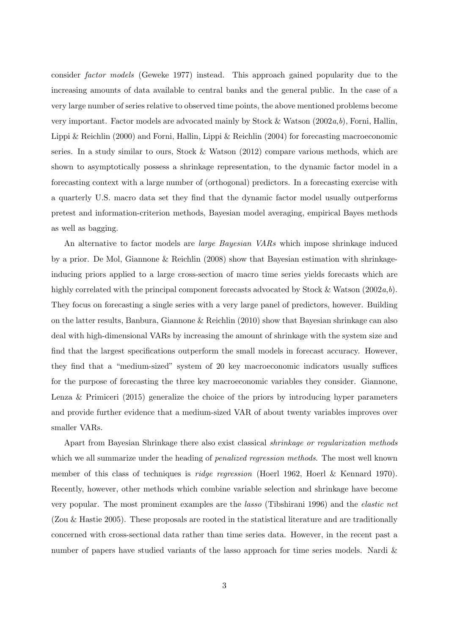consider factor models (Geweke 1977) instead. This approach gained popularity due to the increasing amounts of data available to central banks and the general public. In the case of a very large number of series relative to observed time points, the above mentioned problems become very important. Factor models are advocated mainly by Stock & Watson  $(2002a,b)$ , Forni, Hallin, Lippi & Reichlin (2000) and Forni, Hallin, Lippi & Reichlin (2004) for forecasting macroeconomic series. In a study similar to ours, Stock & Watson (2012) compare various methods, which are shown to asymptotically possess a shrinkage representation, to the dynamic factor model in a forecasting context with a large number of (orthogonal) predictors. In a forecasting exercise with a quarterly U.S. macro data set they find that the dynamic factor model usually outperforms pretest and information-criterion methods, Bayesian model averaging, empirical Bayes methods as well as bagging.

An alternative to factor models are *large Bayesian VARs* which impose shrinkage induced by a prior. De Mol, Giannone & Reichlin (2008) show that Bayesian estimation with shrinkageinducing priors applied to a large cross-section of macro time series yields forecasts which are highly correlated with the principal component forecasts advocated by Stock & Watson  $(2002a,b)$ . They focus on forecasting a single series with a very large panel of predictors, however. Building on the latter results, Banbura, Giannone & Reichlin (2010) show that Bayesian shrinkage can also deal with high-dimensional VARs by increasing the amount of shrinkage with the system size and find that the largest specifications outperform the small models in forecast accuracy. However, they find that a "medium-sized" system of 20 key macroeconomic indicators usually suffices for the purpose of forecasting the three key macroeconomic variables they consider. Giannone, Lenza & Primiceri (2015) generalize the choice of the priors by introducing hyper parameters and provide further evidence that a medium-sized VAR of about twenty variables improves over smaller VARs.

Apart from Bayesian Shrinkage there also exist classical shrinkage or regularization methods which we all summarize under the heading of *penalized regression methods*. The most well known member of this class of techniques is *ridge regression* (Hoerl 1962, Hoerl & Kennard 1970). Recently, however, other methods which combine variable selection and shrinkage have become very popular. The most prominent examples are the lasso (Tibshirani 1996) and the elastic net (Zou & Hastie 2005). These proposals are rooted in the statistical literature and are traditionally concerned with cross-sectional data rather than time series data. However, in the recent past a number of papers have studied variants of the lasso approach for time series models. Nardi &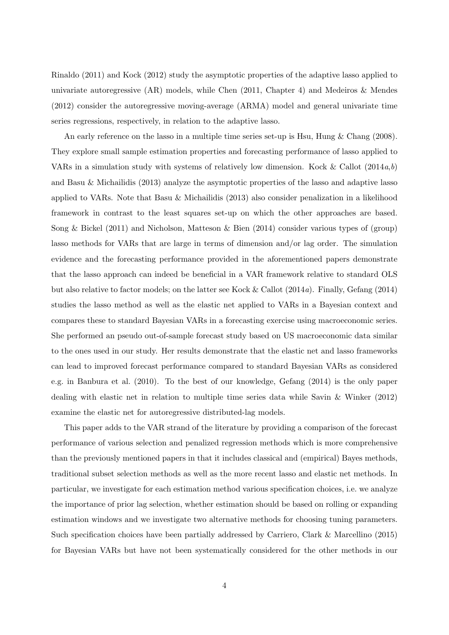Rinaldo (2011) and Kock (2012) study the asymptotic properties of the adaptive lasso applied to univariate autoregressive  $(AR)$  models, while Chen  $(2011, Chapter 4)$  and Medeiros & Mendes (2012) consider the autoregressive moving-average (ARMA) model and general univariate time series regressions, respectively, in relation to the adaptive lasso.

An early reference on the lasso in a multiple time series set-up is Hsu, Hung & Chang (2008). They explore small sample estimation properties and forecasting performance of lasso applied to VARs in a simulation study with systems of relatively low dimension. Kock & Callot  $(2014a,b)$ and Basu & Michailidis (2013) analyze the asymptotic properties of the lasso and adaptive lasso applied to VARs. Note that Basu & Michailidis (2013) also consider penalization in a likelihood framework in contrast to the least squares set-up on which the other approaches are based. Song & Bickel (2011) and Nicholson, Matteson & Bien (2014) consider various types of (group) lasso methods for VARs that are large in terms of dimension and/or lag order. The simulation evidence and the forecasting performance provided in the aforementioned papers demonstrate that the lasso approach can indeed be beneficial in a VAR framework relative to standard OLS but also relative to factor models; on the latter see Kock & Callot (2014a). Finally, Gefang (2014) studies the lasso method as well as the elastic net applied to VARs in a Bayesian context and compares these to standard Bayesian VARs in a forecasting exercise using macroeconomic series. She performed an pseudo out-of-sample forecast study based on US macroeconomic data similar to the ones used in our study. Her results demonstrate that the elastic net and lasso frameworks can lead to improved forecast performance compared to standard Bayesian VARs as considered e.g. in Banbura et al. (2010). To the best of our knowledge, Gefang (2014) is the only paper dealing with elastic net in relation to multiple time series data while Savin & Winker (2012) examine the elastic net for autoregressive distributed-lag models.

This paper adds to the VAR strand of the literature by providing a comparison of the forecast performance of various selection and penalized regression methods which is more comprehensive than the previously mentioned papers in that it includes classical and (empirical) Bayes methods, traditional subset selection methods as well as the more recent lasso and elastic net methods. In particular, we investigate for each estimation method various specification choices, i.e. we analyze the importance of prior lag selection, whether estimation should be based on rolling or expanding estimation windows and we investigate two alternative methods for choosing tuning parameters. Such specification choices have been partially addressed by Carriero, Clark & Marcellino (2015) for Bayesian VARs but have not been systematically considered for the other methods in our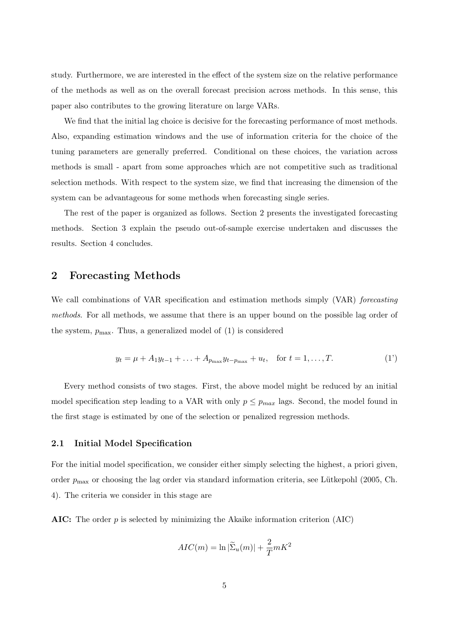study. Furthermore, we are interested in the effect of the system size on the relative performance of the methods as well as on the overall forecast precision across methods. In this sense, this paper also contributes to the growing literature on large VARs.

We find that the initial lag choice is decisive for the forecasting performance of most methods. Also, expanding estimation windows and the use of information criteria for the choice of the tuning parameters are generally preferred. Conditional on these choices, the variation across methods is small - apart from some approaches which are not competitive such as traditional selection methods. With respect to the system size, we find that increasing the dimension of the system can be advantageous for some methods when forecasting single series.

The rest of the paper is organized as follows. Section 2 presents the investigated forecasting methods. Section 3 explain the pseudo out-of-sample exercise undertaken and discusses the results. Section 4 concludes.

# 2 Forecasting Methods

We call combinations of VAR specification and estimation methods simply (VAR) forecasting methods. For all methods, we assume that there is an upper bound on the possible lag order of the system,  $p_{\text{max}}$ . Thus, a generalized model of (1) is considered

$$
y_t = \mu + A_1 y_{t-1} + \ldots + A_{p_{\max}} y_{t-p_{\max}} + u_t, \quad \text{for } t = 1, \ldots, T.
$$
 (1')

Every method consists of two stages. First, the above model might be reduced by an initial model specification step leading to a VAR with only  $p \leq p_{max}$  lags. Second, the model found in the first stage is estimated by one of the selection or penalized regression methods.

#### 2.1 Initial Model Specification

For the initial model specification, we consider either simply selecting the highest, a priori given, order  $p_{\text{max}}$  or choosing the lag order via standard information criteria, see Lütkepohl (2005, Ch. 4). The criteria we consider in this stage are

AIC: The order  $p$  is selected by minimizing the Akaike information criterion (AIC)

$$
AIC(m) = \ln |\tilde{\Sigma}_u(m)| + \frac{2}{T}mK^2
$$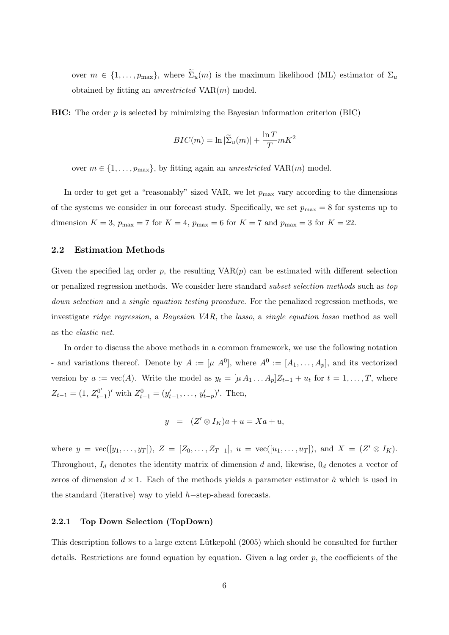over  $m \in \{1, \ldots, p_{\text{max}}\}$ , where  $\widetilde{\Sigma}_u(m)$  is the maximum likelihood (ML) estimator of  $\Sigma_u$ obtained by fitting an *unrestricted*  $VAR(m)$  model.

**BIC:** The order  $p$  is selected by minimizing the Bayesian information criterion (BIC)

$$
BIC(m) = \ln |\widetilde{\Sigma}_u(m)| + \frac{\ln T}{T} mK^2
$$

over  $m \in \{1, \ldots, p_{\text{max}}\}$ , by fitting again an unrestricted VAR(m) model.

In order to get get a "reasonably" sized VAR, we let  $p_{\text{max}}$  vary according to the dimensions of the systems we consider in our forecast study. Specifically, we set  $p_{\text{max}} = 8$  for systems up to dimension  $K = 3$ ,  $p_{\text{max}} = 7$  for  $K = 4$ ,  $p_{\text{max}} = 6$  for  $K = 7$  and  $p_{\text{max}} = 3$  for  $K = 22$ .

#### 2.2 Estimation Methods

Given the specified lag order  $p$ , the resulting  $VAR(p)$  can be estimated with different selection or penalized regression methods. We consider here standard subset selection methods such as top down selection and a single equation testing procedure. For the penalized regression methods, we investigate ridge regression, a Bayesian VAR, the lasso, a single equation lasso method as well as the elastic net.

In order to discuss the above methods in a common framework, we use the following notation - and variations thereof. Denote by  $A := [\mu \ A^0]$ , where  $A^0 := [A_1, \ldots, A_p]$ , and its vectorized version by  $a := \text{vec}(A)$ . Write the model as  $y_t = [\mu A_1 \dots A_p] Z_{t-1} + u_t$  for  $t = 1, \dots, T$ , where  $Z_{t-1} = (1, Z_{t-1}^{0'}$  $y_{t-1}^{(0')}$  with  $Z_{t-1}^0 = (y_{t-1}', \ldots, y_{t-p}')'$ . Then,

$$
y = (Z' \otimes I_K)a + u = Xa + u,
$$

where  $y = \text{vec}([y_1, \ldots, y_T]), Z = [Z_0, \ldots, Z_{T-1}], u = \text{vec}([u_1, \ldots, u_T]), \text{ and } X = (Z' \otimes I_K).$ Throughout,  $I_d$  denotes the identity matrix of dimension d and, likewise,  $0_d$  denotes a vector of zeros of dimension  $d \times 1$ . Each of the methods yields a parameter estimator  $\hat{a}$  which is used in the standard (iterative) way to yield h−step-ahead forecasts.

#### 2.2.1 Top Down Selection (TopDown)

This description follows to a large extent Lütkepohl (2005) which should be consulted for further details. Restrictions are found equation by equation. Given a lag order  $p$ , the coefficients of the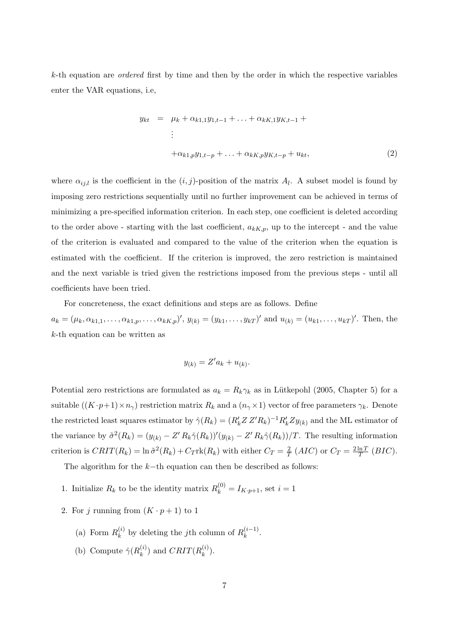$k$ -th equation are *ordered* first by time and then by the order in which the respective variables enter the VAR equations, i.e,

$$
y_{kt} = \mu_k + \alpha_{k1,1} y_{1,t-1} + \ldots + \alpha_{kK,1} y_{K,t-1} +
$$
  
\n
$$
\vdots
$$
  
\n
$$
+ \alpha_{k1,p} y_{1,t-p} + \ldots + \alpha_{kK,p} y_{K,t-p} + u_{kt},
$$
\n(2)

where  $\alpha_{ij,l}$  is the coefficient in the  $(i, j)$ -position of the matrix  $A_l$ . A subset model is found by imposing zero restrictions sequentially until no further improvement can be achieved in terms of minimizing a pre-specified information criterion. In each step, one coefficient is deleted according to the order above - starting with the last coefficient,  $a_{k,k,p}$ , up to the intercept - and the value of the criterion is evaluated and compared to the value of the criterion when the equation is estimated with the coefficient. If the criterion is improved, the zero restriction is maintained and the next variable is tried given the restrictions imposed from the previous steps - until all coefficients have been tried.

For concreteness, the exact definitions and steps are as follows. Define

 $a_k = (\mu_k, \alpha_{k1,1}, \ldots, \alpha_{k1,p}, \ldots, \alpha_{kK,p})', y_{(k)} = (y_{k1}, \ldots, y_{kT})'$  and  $u_{(k)} = (u_{k1}, \ldots, u_{kT})'$ . Then, the k-th equation can be written as

$$
y_{(k)} = Z'a_k + u_{(k)}.
$$

Potential zero restrictions are formulated as  $a_k = R_k \gamma_k$  as in Lütkepohl (2005, Chapter 5) for a suitable  $((K \cdot p+1) \times n_\gamma)$  restriction matrix  $R_k$  and a  $(n_\gamma \times 1)$  vector of free parameters  $\gamma_k$ . Denote the restricted least squares estimator by  $\hat{\gamma}(R_k) = (R'_k Z Z' R_k)^{-1} R'_k Z y_{(k)}$  and the ML estimator of the variance by  $\tilde{\sigma}^2(R_k) = (y_{(k)} - Z' R_k \hat{\gamma}(R_k))'(y_{(k)} - Z' R_k \hat{\gamma}(R_k))/T$ . The resulting information criterion is  $CRIT(R_k) = \ln \tilde{\sigma}^2(R_k) + C_T \text{rk}(R_k)$  with either  $C_T = \frac{2}{7}$  $\frac{2}{T}$  (*AIC*) or  $C_T = \frac{2 \ln T}{T}$  $\frac{\ln T}{T}$  (BIC).

The algorithm for the  $k$ −th equation can then be described as follows:

- 1. Initialize  $R_k$  to be the identity matrix  $R_k^{(0)} = I_{K\cdot p+1}$ , set  $i = 1$
- 2. For j running from  $(K \cdot p + 1)$  to 1
	- (a) Form  $R_k^{(i)}$  $\mathbf{R}_k^{(i)}$  by deleting the *j*th column of  $R_k^{(i-1)}$  $\frac{(i-1)}{k}$ .
	- (b) Compute  $\hat{\gamma}(R_k^{(i)})$  $\binom{(i)}{k}$  and  $CRIT(R_k^{(i)}$  $\binom{u}{k}$ .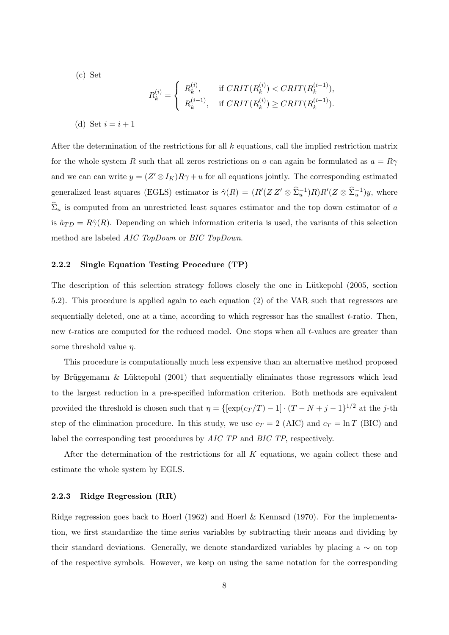(c) Set

$$
R_k^{(i)} = \begin{cases} R_k^{(i)}, & \text{if } CRIT(R_k^{(i)}) < CRIT(R_k^{(i-1)}), \\ R_k^{(i-1)}, & \text{if } CRIT(R_k^{(i)}) \geq CRIT(R_k^{(i-1)}). \end{cases}
$$
  
(d) Set  $i = i + 1$ 

After the determination of the restrictions for all  $k$  equations, call the implied restriction matrix for the whole system R such that all zeros restrictions on a can again be formulated as  $a = R\gamma$ and we can can write  $y = (Z' \otimes I_K)R\gamma + u$  for all equations jointly. The corresponding estimated generalized least squares (EGLS) estimator is  $\hat{\gamma}(R) = (R'(Z Z' \otimes \hat{\Sigma}_u^{-1})R)R'(Z \otimes \hat{\Sigma}_u^{-1})y$ , where  $\widehat{\Sigma}_u$  is computed from an unrestricted least squares estimator and the top down estimator of  $a$ is  $\hat{a}_{TD} = R\hat{\gamma}(R)$ . Depending on which information criteria is used, the variants of this selection method are labeled AIC TopDown or BIC TopDown.

#### 2.2.2 Single Equation Testing Procedure (TP)

The description of this selection strategy follows closely the one in Lütkepohl (2005, section 5.2). This procedure is applied again to each equation (2) of the VAR such that regressors are sequentially deleted, one at a time, according to which regressor has the smallest t-ratio. Then, new t-ratios are computed for the reduced model. One stops when all t-values are greater than some threshold value  $\eta$ .

This procedure is computationally much less expensive than an alternative method proposed by Brüggemann & Lüktepohl  $(2001)$  that sequentially eliminates those regressors which lead to the largest reduction in a pre-specified information criterion. Both methods are equivalent provided the threshold is chosen such that  $\eta = \{[\exp(c_T/T) - 1] \cdot (T - N + j - 1]^{1/2} \text{ at the } j\text{-th} \}$ step of the elimination procedure. In this study, we use  $c_T = 2$  (AIC) and  $c_T = \ln T$  (BIC) and label the corresponding test procedures by AIC TP and BIC TP, respectively.

After the determination of the restrictions for all  $K$  equations, we again collect these and estimate the whole system by EGLS.

#### 2.2.3 Ridge Regression (RR)

Ridge regression goes back to Hoerl (1962) and Hoerl & Kennard (1970). For the implementation, we first standardize the time series variables by subtracting their means and dividing by their standard deviations. Generally, we denote standardized variables by placing a  $\sim$  on top of the respective symbols. However, we keep on using the same notation for the corresponding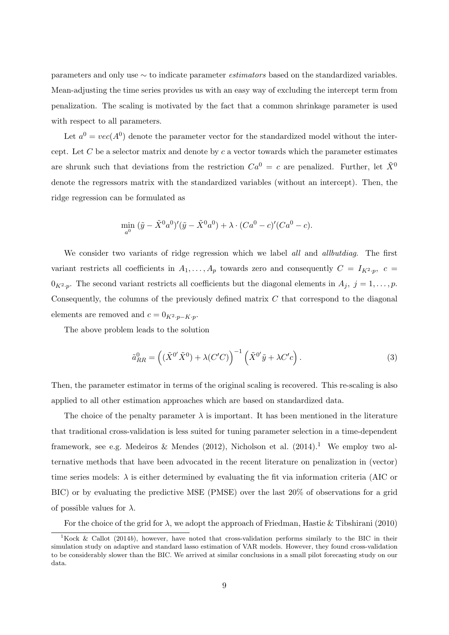parameters and only use ∼ to indicate parameter estimators based on the standardized variables. Mean-adjusting the time series provides us with an easy way of excluding the intercept term from penalization. The scaling is motivated by the fact that a common shrinkage parameter is used with respect to all parameters.

Let  $a^0 = vec(A^0)$  denote the parameter vector for the standardized model without the intercept. Let  $C$  be a selector matrix and denote by  $c$  a vector towards which the parameter estimates are shrunk such that deviations from the restriction  $Ca^{0} = c$  are penalized. Further, let  $\tilde{X}^{0}$ denote the regressors matrix with the standardized variables (without an intercept). Then, the ridge regression can be formulated as

$$
\min_{a^0} (\tilde{y} - \tilde{X}^0 a^0)'(\tilde{y} - \tilde{X}^0 a^0) + \lambda \cdot (Ca^0 - c)'(Ca^0 - c).
$$

We consider two variants of ridge regression which we label all and allbutdiag. The first variant restricts all coefficients in  $A_1, \ldots, A_p$  towards zero and consequently  $C = I_{K^2 \cdot p}$ ,  $c =$  $0_{K^2,p}$ . The second variant restricts all coefficients but the diagonal elements in  $A_j$ ,  $j=1,\ldots,p$ . Consequently, the columns of the previously defined matrix  $C$  that correspond to the diagonal elements are removed and  $c = 0_{K^2 \cdot p - K \cdot p}$ .

The above problem leads to the solution

$$
\tilde{a}_{RR}^0 = \left( (\tilde{X}^{0'} \tilde{X}^0) + \lambda (C'C) \right)^{-1} \left( \tilde{X}^{0'} \tilde{y} + \lambda C'c \right).
$$
\n(3)

Then, the parameter estimator in terms of the original scaling is recovered. This re-scaling is also applied to all other estimation approaches which are based on standardized data.

The choice of the penalty parameter  $\lambda$  is important. It has been mentioned in the literature that traditional cross-validation is less suited for tuning parameter selection in a time-dependent framework, see e.g. Medeiros & Mendes (2012), Nicholson et al. (2014).<sup>1</sup> We employ two alternative methods that have been advocated in the recent literature on penalization in (vector) time series models:  $\lambda$  is either determined by evaluating the fit via information criteria (AIC or BIC) or by evaluating the predictive MSE (PMSE) over the last 20% of observations for a grid of possible values for  $\lambda$ .

For the choice of the grid for  $\lambda$ , we adopt the approach of Friedman, Hastie & Tibshirani (2010)

<sup>&</sup>lt;sup>1</sup>Kock & Callot (2014b), however, have noted that cross-validation performs similarly to the BIC in their simulation study on adaptive and standard lasso estimation of VAR models. However, they found cross-validation to be considerably slower than the BIC. We arrived at similar conclusions in a small pilot forecasting study on our data.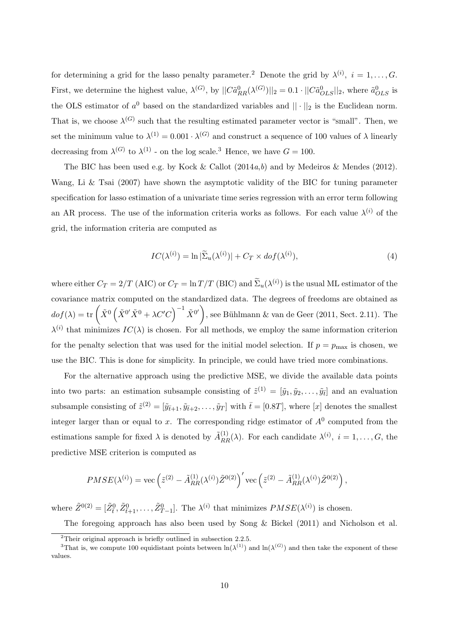for determining a grid for the lasso penalty parameter.<sup>2</sup> Denote the grid by  $\lambda^{(i)}$ ,  $i = 1, \ldots, G$ . First, we determine the highest value,  $\lambda^{(G)}$ , by  $||C\tilde{a}_{RR}^{0}(\lambda^{(G)})||_{2} = 0.1 \cdot ||C\tilde{a}_{OLS}^{0}||_{2}$ , where  $\tilde{a}_{OLS}^{0}$  is the OLS estimator of  $a^0$  based on the standardized variables and  $|| \cdot ||_2$  is the Euclidean norm. That is, we choose  $\lambda^{(G)}$  such that the resulting estimated parameter vector is "small". Then, we set the minimum value to  $\lambda^{(1)} = 0.001 \cdot \lambda^{(G)}$  and construct a sequence of 100 values of  $\lambda$  linearly decreasing from  $\lambda^{(G)}$  to  $\lambda^{(1)}$  - on the log scale.<sup>3</sup> Hence, we have  $G = 100$ .

The BIC has been used e.g. by Kock & Callot  $(2014a, b)$  and by Medeiros & Mendes  $(2012)$ . Wang, Li & Tsai (2007) have shown the asymptotic validity of the BIC for tuning parameter specification for lasso estimation of a univariate time series regression with an error term following an AR process. The use of the information criteria works as follows. For each value  $\lambda^{(i)}$  of the grid, the information criteria are computed as

$$
IC(\lambda^{(i)}) = \ln |\widetilde{\Sigma}_u(\lambda^{(i)})| + C_T \times dof(\lambda^{(i)}),\tag{4}
$$

where either  $C_T = 2/T$  (AIC) or  $C_T = \ln T/T$  (BIC) and  $\tilde{\Sigma}_u(\lambda^{(i)})$  is the usual ML estimator of the covariance matrix computed on the standardized data. The degrees of freedoms are obtained as  $dof(\lambda) = \text{tr}\left(\tilde{X}^0\left(\tilde{X}^{0'}\tilde{X}^0 + \lambda C'C\right)^{-1}\tilde{X}^{0'}\right)$ , see Bühlmann & van de Geer (2011, Sect. 2.11). The  $\lambda^{(i)}$  that minimizes  $IC(\lambda)$  is chosen. For all methods, we employ the same information criterion for the penalty selection that was used for the initial model selection. If  $p = p_{\text{max}}$  is chosen, we use the BIC. This is done for simplicity. In principle, we could have tried more combinations.

For the alternative approach using the predictive MSE, we divide the available data points into two parts: an estimation subsample consisting of  $\tilde{z}^{(1)} = [\tilde{y}_1, \tilde{y}_2, \dots, \tilde{y}_t]$  and an evaluation subsample consisting of  $\tilde{z}^{(2)} = [\tilde{y}_{\bar{t}+1}, \tilde{y}_{\bar{t}+2}, \dots, \tilde{y}_T]$  with  $\bar{t} = [0.8T]$ , where [x] denotes the smallest integer larger than or equal to x. The corresponding ridge estimator of  $A^0$  computed from the estimations sample for fixed  $\lambda$  is denoted by  $\tilde{A}_{RR}^{(1)}(\lambda)$ . For each candidate  $\lambda^{(i)}$ ,  $i = 1, \ldots, G$ , the predictive MSE criterion is computed as

$$
PMSE(\lambda^{(i)}) = \text{vec}\left(\tilde{z}^{(2)} - \tilde{A}_{RR}^{(1)}(\lambda^{(i)})\tilde{Z}^{0(2)}\right)' \text{vec}\left(\tilde{z}^{(2)} - \tilde{A}_{RR}^{(1)}(\lambda^{(i)})\tilde{Z}^{0(2)}\right),
$$

where  $\tilde{Z}^{0(2)} = [\tilde{Z}_{\bar{t}}^0, \tilde{Z}_{\bar{t}+1}^0, \ldots, \tilde{Z}_{T-1}^0]$ . The  $\lambda^{(i)}$  that minimizes  $PMSE(\lambda^{(i)})$  is chosen.

The foregoing approach has also been used by Song & Bickel (2011) and Nicholson et al.

<sup>2</sup>Their original approach is briefly outlined in subsection 2.2.5.

<sup>&</sup>lt;sup>3</sup>That is, we compute 100 equidistant points between  $\ln(\lambda^{(1)})$  and  $\ln(\lambda^{(G)})$  and then take the exponent of these values.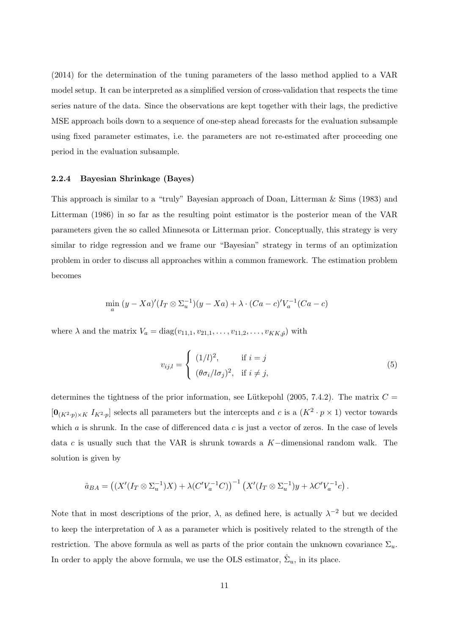(2014) for the determination of the tuning parameters of the lasso method applied to a VAR model setup. It can be interpreted as a simplified version of cross-validation that respects the time series nature of the data. Since the observations are kept together with their lags, the predictive MSE approach boils down to a sequence of one-step ahead forecasts for the evaluation subsample using fixed parameter estimates, i.e. the parameters are not re-estimated after proceeding one period in the evaluation subsample.

#### 2.2.4 Bayesian Shrinkage (Bayes)

This approach is similar to a "truly" Bayesian approach of Doan, Litterman & Sims (1983) and Litterman (1986) in so far as the resulting point estimator is the posterior mean of the VAR parameters given the so called Minnesota or Litterman prior. Conceptually, this strategy is very similar to ridge regression and we frame our "Bayesian" strategy in terms of an optimization problem in order to discuss all approaches within a common framework. The estimation problem becomes

$$
\min_{a} (y - Xa)'(I_T \otimes \Sigma_u^{-1})(y - Xa) + \lambda \cdot (Ca - c)'V_a^{-1}(Ca - c)
$$

where  $\lambda$  and the matrix  $V_a = \text{diag}(v_{11,1}, v_{21,1}, \ldots, v_{11,2}, \ldots, v_{KK,\hat{p}})$  with

$$
v_{ij,l} = \begin{cases} (1/l)^2, & \text{if } i = j \\ (\theta \sigma_i / l \sigma_j)^2, & \text{if } i \neq j, \end{cases}
$$
 (5)

determines the tightness of the prior information, see Lütkepohl (2005, 7.4.2). The matrix  $C =$  $[\mathbf{0}_{(K^2 \cdot p) \times K} I_{K^2 \cdot p}]$  selects all parameters but the intercepts and c is a  $(K^2 \cdot p \times 1)$  vector towards which  $a$  is shrunk. In the case of differenced data  $c$  is just a vector of zeros. In the case of levels data c is usually such that the VAR is shrunk towards a K−dimensional random walk. The solution is given by

$$
\hat{a}_{BA} = ((X'(I_T \otimes \Sigma_u^{-1})X) + \lambda (C'V_a^{-1}C))^{-1} (X'(I_T \otimes \Sigma_u^{-1})y + \lambda C'V_a^{-1}c).
$$

Note that in most descriptions of the prior,  $\lambda$ , as defined here, is actually  $\lambda^{-2}$  but we decided to keep the interpretation of  $\lambda$  as a parameter which is positively related to the strength of the restriction. The above formula as well as parts of the prior contain the unknown covariance  $\Sigma_u$ . In order to apply the above formula, we use the OLS estimator,  $\hat{\Sigma}_u$ , in its place.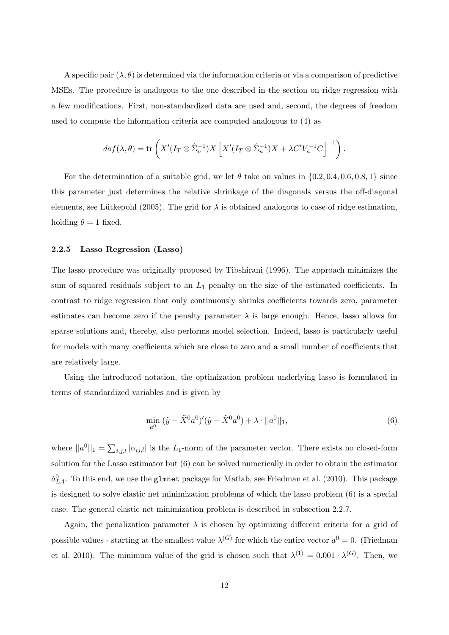A specific pair  $(\lambda, \theta)$  is determined via the information criteria or via a comparison of predictive MSEs. The procedure is analogous to the one described in the section on ridge regression with a few modifications. First, non-standardized data are used and, second, the degrees of freedom used to compute the information criteria are computed analogous to (4) as

$$
dof(\lambda,\theta) = \text{tr}\left(X'(I_T \otimes \hat{\Sigma}_u^{-1})X\left[X'(I_T \otimes \hat{\Sigma}_u^{-1})X + \lambda C'V_a^{-1}C\right]^{-1}\right).
$$

For the determination of a suitable grid, we let  $\theta$  take on values in  $\{0.2, 0.4, 0.6, 0.8, 1\}$  since this parameter just determines the relative shrinkage of the diagonals versus the off-diagonal elements, see Lütkepohl (2005). The grid for  $\lambda$  is obtained analogous to case of ridge estimation, holding  $\theta = 1$  fixed.

#### 2.2.5 Lasso Regression (Lasso)

The lasso procedure was originally proposed by Tibshirani (1996). The approach minimizes the sum of squared residuals subject to an  $L_1$  penalty on the size of the estimated coefficients. In contrast to ridge regression that only continuously shrinks coefficients towards zero, parameter estimates can become zero if the penalty parameter  $\lambda$  is large enough. Hence, lasso allows for sparse solutions and, thereby, also performs model selection. Indeed, lasso is particularly useful for models with many coefficients which are close to zero and a small number of coefficients that are relatively large.

Using the introduced notation, the optimization problem underlying lasso is formulated in terms of standardized variables and is given by

$$
\min_{a^0} (\tilde{y} - \tilde{X}^0 a^0)' (\tilde{y} - \tilde{X}^0 a^0) + \lambda \cdot ||a^0||_1,
$$
\n(6)

where  $||a^0||_1 = \sum_{i,j,l} |\alpha_{ij,l}|$  is the L<sub>1</sub>-norm of the parameter vector. There exists no closed-form solution for the Lasso estimator but (6) can be solved numerically in order to obtain the estimator  $\tilde{a}_{LA}^0$ . To this end, we use the glmnet package for Matlab, see Friedman et al. (2010). This package is designed to solve elastic net minimization problems of which the lasso problem (6) is a special case. The general elastic net minimization problem is described in subsection 2.2.7.

Again, the penalization parameter  $\lambda$  is chosen by optimizing different criteria for a grid of possible values - starting at the smallest value  $\lambda^{(G)}$  for which the entire vector  $a^0 = 0$ . (Friedman et al. 2010). The minimum value of the grid is chosen such that  $\lambda^{(1)} = 0.001 \cdot \lambda^{(G)}$ . Then, we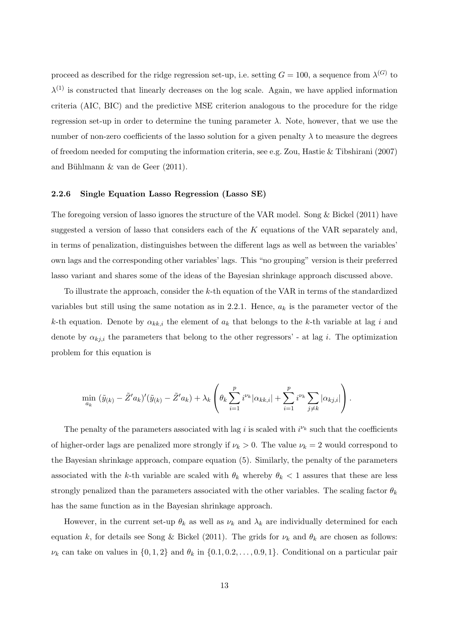proceed as described for the ridge regression set-up, i.e. setting  $G = 100$ , a sequence from  $\lambda^{(G)}$  to  $\lambda^{(1)}$  is constructed that linearly decreases on the log scale. Again, we have applied information criteria (AIC, BIC) and the predictive MSE criterion analogous to the procedure for the ridge regression set-up in order to determine the tuning parameter  $\lambda$ . Note, however, that we use the number of non-zero coefficients of the lasso solution for a given penalty  $\lambda$  to measure the degrees of freedom needed for computing the information criteria, see e.g. Zou, Hastie & Tibshirani (2007) and Bühlmann  $\&$  van de Geer (2011).

#### 2.2.6 Single Equation Lasso Regression (Lasso SE)

The foregoing version of lasso ignores the structure of the VAR model. Song & Bickel (2011) have suggested a version of lasso that considers each of the  $K$  equations of the VAR separately and, in terms of penalization, distinguishes between the different lags as well as between the variables' own lags and the corresponding other variables' lags. This "no grouping" version is their preferred lasso variant and shares some of the ideas of the Bayesian shrinkage approach discussed above.

To illustrate the approach, consider the k-th equation of the VAR in terms of the standardized variables but still using the same notation as in 2.2.1. Hence,  $a_k$  is the parameter vector of the k-th equation. Denote by  $\alpha_{kk,i}$  the element of  $a_k$  that belongs to the k-th variable at lag i and denote by  $\alpha_{kj,i}$  the parameters that belong to the other regressors' - at lag i. The optimization problem for this equation is

$$
\min_{a_k} (\tilde{y}_{(k)} - \tilde{Z}'a_k)'(\tilde{y}_{(k)} - \tilde{Z}'a_k) + \lambda_k \left(\theta_k \sum_{i=1}^p i^{\nu_k} |\alpha_{kk,i}| + \sum_{i=1}^p i^{\nu_k} \sum_{j \neq k} |\alpha_{kj,i}|\right).
$$

The penalty of the parameters associated with lag i is scaled with  $i^{\nu_k}$  such that the coefficients of higher-order lags are penalized more strongly if  $\nu_k > 0$ . The value  $\nu_k = 2$  would correspond to the Bayesian shrinkage approach, compare equation (5). Similarly, the penalty of the parameters associated with the k-th variable are scaled with  $\theta_k$  whereby  $\theta_k$  < 1 assures that these are less strongly penalized than the parameters associated with the other variables. The scaling factor  $\theta_k$ has the same function as in the Bayesian shrinkage approach.

However, in the current set-up  $\theta_k$  as well as  $\nu_k$  and  $\lambda_k$  are individually determined for each equation k, for details see Song & Bickel (2011). The grids for  $\nu_k$  and  $\theta_k$  are chosen as follows:  $\nu_k$  can take on values in  $\{0, 1, 2\}$  and  $\theta_k$  in  $\{0.1, 0.2, \ldots, 0.9, 1\}$ . Conditional on a particular pair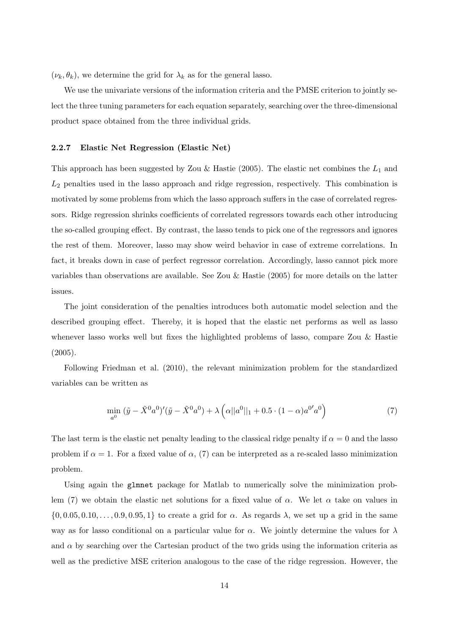$(\nu_k, \theta_k)$ , we determine the grid for  $\lambda_k$  as for the general lasso.

We use the univariate versions of the information criteria and the PMSE criterion to jointly select the three tuning parameters for each equation separately, searching over the three-dimensional product space obtained from the three individual grids.

#### 2.2.7 Elastic Net Regression (Elastic Net)

This approach has been suggested by Zou & Hastie (2005). The elastic net combines the  $L_1$  and  $L_2$  penalties used in the lasso approach and ridge regression, respectively. This combination is motivated by some problems from which the lasso approach suffers in the case of correlated regressors. Ridge regression shrinks coefficients of correlated regressors towards each other introducing the so-called grouping effect. By contrast, the lasso tends to pick one of the regressors and ignores the rest of them. Moreover, lasso may show weird behavior in case of extreme correlations. In fact, it breaks down in case of perfect regressor correlation. Accordingly, lasso cannot pick more variables than observations are available. See Zou & Hastie (2005) for more details on the latter issues.

The joint consideration of the penalties introduces both automatic model selection and the described grouping effect. Thereby, it is hoped that the elastic net performs as well as lasso whenever lasso works well but fixes the highlighted problems of lasso, compare Zou & Hastie (2005).

Following Friedman et al. (2010), the relevant minimization problem for the standardized variables can be written as

$$
\min_{a^0} (\tilde{y} - \tilde{X}^0 a^0)'(\tilde{y} - \tilde{X}^0 a^0) + \lambda \left( \alpha ||a^0||_1 + 0.5 \cdot (1 - \alpha) a^{0'} a^0 \right) \tag{7}
$$

The last term is the elastic net penalty leading to the classical ridge penalty if  $\alpha = 0$  and the lasso problem if  $\alpha = 1$ . For a fixed value of  $\alpha$ , (7) can be interpreted as a re-scaled lasso minimization problem.

Using again the glmnet package for Matlab to numerically solve the minimization problem (7) we obtain the elastic net solutions for a fixed value of  $\alpha$ . We let  $\alpha$  take on values in  $\{0, 0.05, 0.10, \ldots, 0.9, 0.95, 1\}$  to create a grid for  $\alpha$ . As regards  $\lambda$ , we set up a grid in the same way as for lasso conditional on a particular value for  $\alpha$ . We jointly determine the values for  $\lambda$ and  $\alpha$  by searching over the Cartesian product of the two grids using the information criteria as well as the predictive MSE criterion analogous to the case of the ridge regression. However, the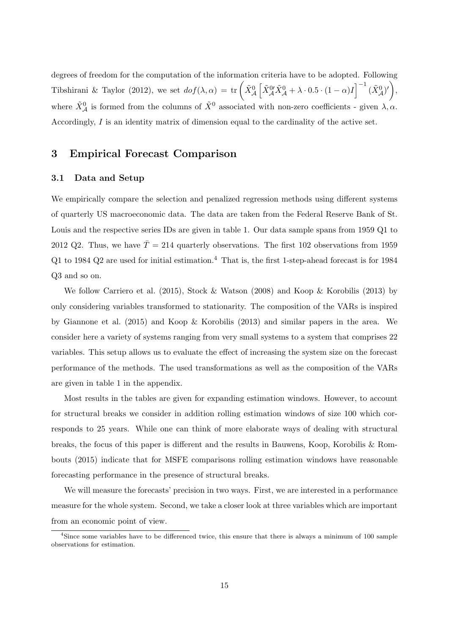degrees of freedom for the computation of the information criteria have to be adopted. Following Tibshirani & Taylor (2012), we set  $dof(\lambda, \alpha) = \text{tr}\left(\tilde{X}_{\mathcal{A}}^{0} \left[ \tilde{X}_{\mathcal{A}}^{0\prime} \tilde{X}_{\mathcal{A}}^{0} + \lambda \cdot 0.5 \cdot (1 - \alpha)I \right]^{-1} (\tilde{X}_{\mathcal{A}}^{0})'\right)$ where  $\tilde{X}^0_{\mathcal{A}}$  is formed from the columns of  $\tilde{X}^0$  associated with non-zero coefficients - given  $\lambda, \alpha$ . Accordingly, I is an identity matrix of dimension equal to the cardinality of the active set.

# 3 Empirical Forecast Comparison

#### 3.1 Data and Setup

We empirically compare the selection and penalized regression methods using different systems of quarterly US macroeconomic data. The data are taken from the Federal Reserve Bank of St. Louis and the respective series IDs are given in table 1. Our data sample spans from 1959 Q1 to 2012 Q2. Thus, we have  $\overline{T} = 214$  quarterly observations. The first 102 observations from 1959 Q1 to 1984 Q2 are used for initial estimation.<sup>4</sup> That is, the first 1-step-ahead forecast is for 1984 Q3 and so on.

We follow Carriero et al. (2015), Stock & Watson (2008) and Koop & Korobilis (2013) by only considering variables transformed to stationarity. The composition of the VARs is inspired by Giannone et al. (2015) and Koop & Korobilis (2013) and similar papers in the area. We consider here a variety of systems ranging from very small systems to a system that comprises 22 variables. This setup allows us to evaluate the effect of increasing the system size on the forecast performance of the methods. The used transformations as well as the composition of the VARs are given in table 1 in the appendix.

Most results in the tables are given for expanding estimation windows. However, to account for structural breaks we consider in addition rolling estimation windows of size 100 which corresponds to 25 years. While one can think of more elaborate ways of dealing with structural breaks, the focus of this paper is different and the results in Bauwens, Koop, Korobilis & Rombouts (2015) indicate that for MSFE comparisons rolling estimation windows have reasonable forecasting performance in the presence of structural breaks.

We will measure the forecasts' precision in two ways. First, we are interested in a performance measure for the whole system. Second, we take a closer look at three variables which are important from an economic point of view.

<sup>&</sup>lt;sup>4</sup>Since some variables have to be differenced twice, this ensure that there is always a minimum of 100 sample observations for estimation.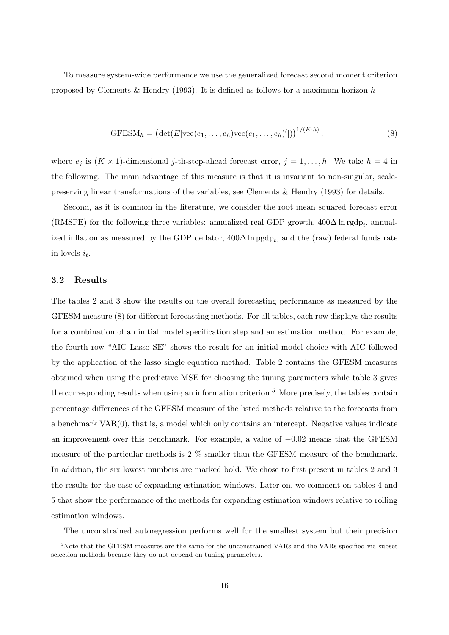To measure system-wide performance we use the generalized forecast second moment criterion proposed by Clements & Hendry (1993). It is defined as follows for a maximum horizon  $h$ 

$$
GFESMh = \left(\det(E[vec(e_1, ..., e_h)vec(e_1, ..., e_h)'])\right)^{1/(K \cdot h)}, \qquad (8)
$$

where  $e_j$  is  $(K \times 1)$ -dimensional j-th-step-ahead forecast error,  $j = 1, ..., h$ . We take  $h = 4$  in the following. The main advantage of this measure is that it is invariant to non-singular, scalepreserving linear transformations of the variables, see Clements & Hendry (1993) for details.

Second, as it is common in the literature, we consider the root mean squared forecast error (RMSFE) for the following three variables: annualized real GDP growth,  $400\Delta \ln \text{rgdp}_t$ , annualized inflation as measured by the GDP deflator,  $400\Delta \ln \text{pgdp}_t$ , and the (raw) federal funds rate in levels  $i_t$ .

#### 3.2 Results

The tables 2 and 3 show the results on the overall forecasting performance as measured by the GFESM measure (8) for different forecasting methods. For all tables, each row displays the results for a combination of an initial model specification step and an estimation method. For example, the fourth row "AIC Lasso SE" shows the result for an initial model choice with AIC followed by the application of the lasso single equation method. Table 2 contains the GFESM measures obtained when using the predictive MSE for choosing the tuning parameters while table 3 gives the corresponding results when using an information criterion.<sup>5</sup> More precisely, the tables contain percentage differences of the GFESM measure of the listed methods relative to the forecasts from a benchmark VAR(0), that is, a model which only contains an intercept. Negative values indicate an improvement over this benchmark. For example, a value of −0.02 means that the GFESM measure of the particular methods is 2 % smaller than the GFESM measure of the benchmark. In addition, the six lowest numbers are marked bold. We chose to first present in tables 2 and 3 the results for the case of expanding estimation windows. Later on, we comment on tables 4 and 5 that show the performance of the methods for expanding estimation windows relative to rolling estimation windows.

The unconstrained autoregression performs well for the smallest system but their precision

 $5\text{Note that the GFESM measures are the same for the unconstrained VARs and the VARs specified via subset$ selection methods because they do not depend on tuning parameters.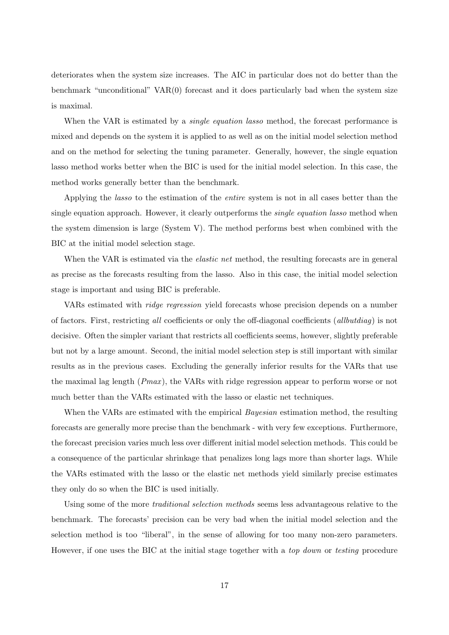deteriorates when the system size increases. The AIC in particular does not do better than the benchmark "unconditional"  $VAR(0)$  forecast and it does particularly bad when the system size is maximal.

When the VAR is estimated by a *single equation lasso* method, the forecast performance is mixed and depends on the system it is applied to as well as on the initial model selection method and on the method for selecting the tuning parameter. Generally, however, the single equation lasso method works better when the BIC is used for the initial model selection. In this case, the method works generally better than the benchmark.

Applying the lasso to the estimation of the entire system is not in all cases better than the single equation approach. However, it clearly outperforms the *single equation lasso* method when the system dimension is large (System V). The method performs best when combined with the BIC at the initial model selection stage.

When the VAR is estimated via the *elastic net* method, the resulting forecasts are in general as precise as the forecasts resulting from the lasso. Also in this case, the initial model selection stage is important and using BIC is preferable.

VARs estimated with ridge regression yield forecasts whose precision depends on a number of factors. First, restricting all coefficients or only the off-diagonal coefficients (allbutdiag) is not decisive. Often the simpler variant that restricts all coefficients seems, however, slightly preferable but not by a large amount. Second, the initial model selection step is still important with similar results as in the previous cases. Excluding the generally inferior results for the VARs that use the maximal lag length  $(Pmax)$ , the VARs with ridge regression appear to perform worse or not much better than the VARs estimated with the lasso or elastic net techniques.

When the VARs are estimated with the empirical *Bayesian* estimation method, the resulting forecasts are generally more precise than the benchmark - with very few exceptions. Furthermore, the forecast precision varies much less over different initial model selection methods. This could be a consequence of the particular shrinkage that penalizes long lags more than shorter lags. While the VARs estimated with the lasso or the elastic net methods yield similarly precise estimates they only do so when the BIC is used initially.

Using some of the more *traditional selection methods* seems less advantageous relative to the benchmark. The forecasts' precision can be very bad when the initial model selection and the selection method is too "liberal", in the sense of allowing for too many non-zero parameters. However, if one uses the BIC at the initial stage together with a top down or testing procedure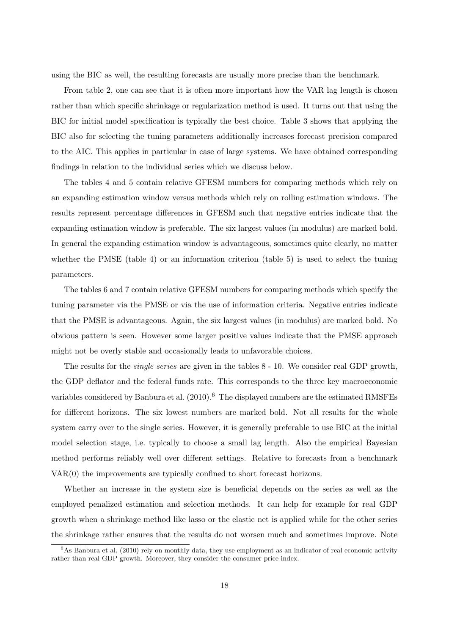using the BIC as well, the resulting forecasts are usually more precise than the benchmark.

From table 2, one can see that it is often more important how the VAR lag length is chosen rather than which specific shrinkage or regularization method is used. It turns out that using the BIC for initial model specification is typically the best choice. Table 3 shows that applying the BIC also for selecting the tuning parameters additionally increases forecast precision compared to the AIC. This applies in particular in case of large systems. We have obtained corresponding findings in relation to the individual series which we discuss below.

The tables 4 and 5 contain relative GFESM numbers for comparing methods which rely on an expanding estimation window versus methods which rely on rolling estimation windows. The results represent percentage differences in GFESM such that negative entries indicate that the expanding estimation window is preferable. The six largest values (in modulus) are marked bold. In general the expanding estimation window is advantageous, sometimes quite clearly, no matter whether the PMSE (table 4) or an information criterion (table 5) is used to select the tuning parameters.

The tables 6 and 7 contain relative GFESM numbers for comparing methods which specify the tuning parameter via the PMSE or via the use of information criteria. Negative entries indicate that the PMSE is advantageous. Again, the six largest values (in modulus) are marked bold. No obvious pattern is seen. However some larger positive values indicate that the PMSE approach might not be overly stable and occasionally leads to unfavorable choices.

The results for the *single series* are given in the tables 8 - 10. We consider real GDP growth, the GDP deflator and the federal funds rate. This corresponds to the three key macroeconomic variables considered by Banbura et al. (2010).<sup>6</sup> The displayed numbers are the estimated RMSFEs for different horizons. The six lowest numbers are marked bold. Not all results for the whole system carry over to the single series. However, it is generally preferable to use BIC at the initial model selection stage, i.e. typically to choose a small lag length. Also the empirical Bayesian method performs reliably well over different settings. Relative to forecasts from a benchmark VAR(0) the improvements are typically confined to short forecast horizons.

Whether an increase in the system size is beneficial depends on the series as well as the employed penalized estimation and selection methods. It can help for example for real GDP growth when a shrinkage method like lasso or the elastic net is applied while for the other series the shrinkage rather ensures that the results do not worsen much and sometimes improve. Note

 $6$ As Banbura et al. (2010) rely on monthly data, they use employment as an indicator of real economic activity rather than real GDP growth. Moreover, they consider the consumer price index.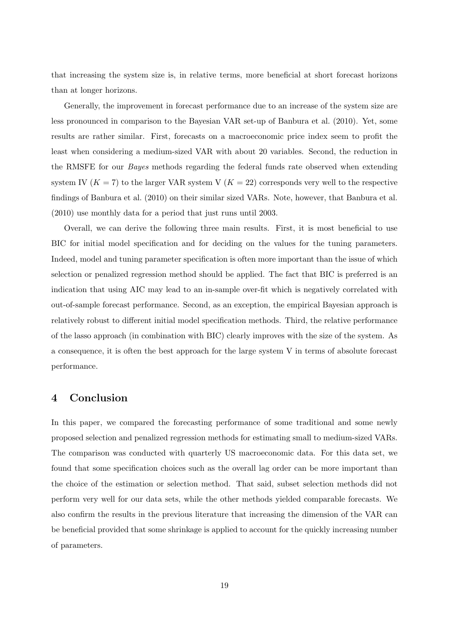that increasing the system size is, in relative terms, more beneficial at short forecast horizons than at longer horizons.

Generally, the improvement in forecast performance due to an increase of the system size are less pronounced in comparison to the Bayesian VAR set-up of Banbura et al. (2010). Yet, some results are rather similar. First, forecasts on a macroeconomic price index seem to profit the least when considering a medium-sized VAR with about 20 variables. Second, the reduction in the RMSFE for our Bayes methods regarding the federal funds rate observed when extending system IV  $(K = 7)$  to the larger VAR system V  $(K = 22)$  corresponds very well to the respective findings of Banbura et al. (2010) on their similar sized VARs. Note, however, that Banbura et al. (2010) use monthly data for a period that just runs until 2003.

Overall, we can derive the following three main results. First, it is most beneficial to use BIC for initial model specification and for deciding on the values for the tuning parameters. Indeed, model and tuning parameter specification is often more important than the issue of which selection or penalized regression method should be applied. The fact that BIC is preferred is an indication that using AIC may lead to an in-sample over-fit which is negatively correlated with out-of-sample forecast performance. Second, as an exception, the empirical Bayesian approach is relatively robust to different initial model specification methods. Third, the relative performance of the lasso approach (in combination with BIC) clearly improves with the size of the system. As a consequence, it is often the best approach for the large system V in terms of absolute forecast performance.

# 4 Conclusion

In this paper, we compared the forecasting performance of some traditional and some newly proposed selection and penalized regression methods for estimating small to medium-sized VARs. The comparison was conducted with quarterly US macroeconomic data. For this data set, we found that some specification choices such as the overall lag order can be more important than the choice of the estimation or selection method. That said, subset selection methods did not perform very well for our data sets, while the other methods yielded comparable forecasts. We also confirm the results in the previous literature that increasing the dimension of the VAR can be beneficial provided that some shrinkage is applied to account for the quickly increasing number of parameters.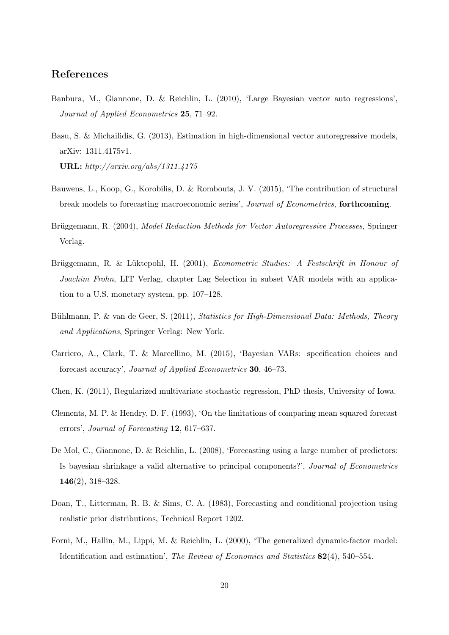# References

- Banbura, M., Giannone, D. & Reichlin, L. (2010), 'Large Bayesian vector auto regressions', Journal of Applied Econometrics 25, 71–92.
- Basu, S. & Michailidis, G. (2013), Estimation in high-dimensional vector autoregressive models, arXiv: 1311.4175v1. URL: http://arxiv.org/abs/1311.4175
- Bauwens, L., Koop, G., Korobilis, D. & Rombouts, J. V. (2015), 'The contribution of structural break models to forecasting macroeconomic series', Journal of Econometrics, forthcoming.
- Brüggemann, R. (2004), Model Reduction Methods for Vector Autoregressive Processes, Springer Verlag.
- Brüggemann, R. & Lüktepohl, H. (2001), *Econometric Studies: A Festschrift in Honour of* Joachim Frohn, LIT Verlag, chapter Lag Selection in subset VAR models with an application to a U.S. monetary system, pp. 107–128.
- Bühlmann, P. & van de Geer, S. (2011), Statistics for High-Dimensional Data: Methods, Theory and Applications, Springer Verlag: New York.
- Carriero, A., Clark, T. & Marcellino, M. (2015), 'Bayesian VARs: specification choices and forecast accuracy', Journal of Applied Econometrics 30, 46–73.
- Chen, K. (2011), Regularized multivariate stochastic regression, PhD thesis, University of Iowa.
- Clements, M. P. & Hendry, D. F. (1993), 'On the limitations of comparing mean squared forecast errors', Journal of Forecasting 12, 617–637.
- De Mol, C., Giannone, D. & Reichlin, L. (2008), 'Forecasting using a large number of predictors: Is bayesian shrinkage a valid alternative to principal components?', Journal of Econometrics 146(2), 318–328.
- Doan, T., Litterman, R. B. & Sims, C. A. (1983), Forecasting and conditional projection using realistic prior distributions, Technical Report 1202.
- Forni, M., Hallin, M., Lippi, M. & Reichlin, L. (2000), 'The generalized dynamic-factor model: Identification and estimation', *The Review of Economics and Statistics* 82(4), 540–554.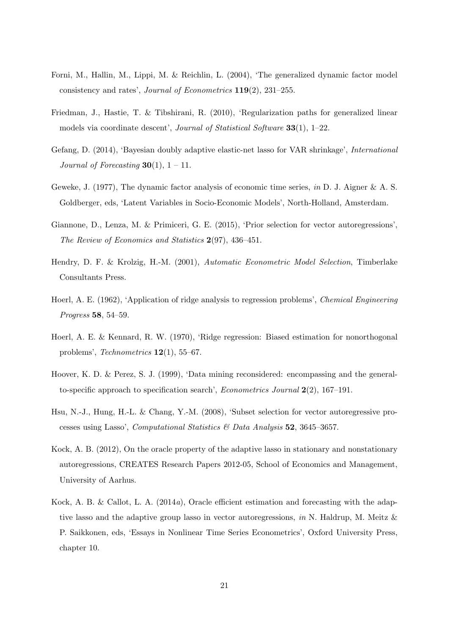- Forni, M., Hallin, M., Lippi, M. & Reichlin, L. (2004), 'The generalized dynamic factor model consistency and rates', Journal of Econometrics 119(2), 231–255.
- Friedman, J., Hastie, T. & Tibshirani, R. (2010), 'Regularization paths for generalized linear models via coordinate descent', Journal of Statistical Software 33(1), 1–22.
- Gefang, D. (2014), 'Bayesian doubly adaptive elastic-net lasso for VAR shrinkage', International Journal of Forecasting  $30(1)$ ,  $1 - 11$ .
- Geweke, J. (1977), The dynamic factor analysis of economic time series, in D. J. Aigner & A. S. Goldberger, eds, 'Latent Variables in Socio-Economic Models', North-Holland, Amsterdam.
- Giannone, D., Lenza, M. & Primiceri, G. E. (2015), 'Prior selection for vector autoregressions', The Review of Economics and Statistics 2(97), 436–451.
- Hendry, D. F. & Krolzig, H.-M. (2001), Automatic Econometric Model Selection, Timberlake Consultants Press.
- Hoerl, A. E. (1962), 'Application of ridge analysis to regression problems', Chemical Engineering Progress 58, 54–59.
- Hoerl, A. E. & Kennard, R. W. (1970), 'Ridge regression: Biased estimation for nonorthogonal problems', Technometrics  $12(1)$ , 55–67.
- Hoover, K. D. & Perez, S. J. (1999), 'Data mining reconsidered: encompassing and the generalto-specific approach to specification search', Econometrics Journal 2(2), 167–191.
- Hsu, N.-J., Hung, H.-L. & Chang, Y.-M. (2008), 'Subset selection for vector autoregressive processes using Lasso', *Computational Statistics & Data Analysis* 52, 3645–3657.
- Kock, A. B. (2012), On the oracle property of the adaptive lasso in stationary and nonstationary autoregressions, CREATES Research Papers 2012-05, School of Economics and Management, University of Aarhus.
- Kock, A. B. & Callot, L. A. (2014a), Oracle efficient estimation and forecasting with the adaptive lasso and the adaptive group lasso in vector autoregressions, in N. Haldrup, M. Meitz & P. Saikkonen, eds, 'Essays in Nonlinear Time Series Econometrics', Oxford University Press, chapter 10.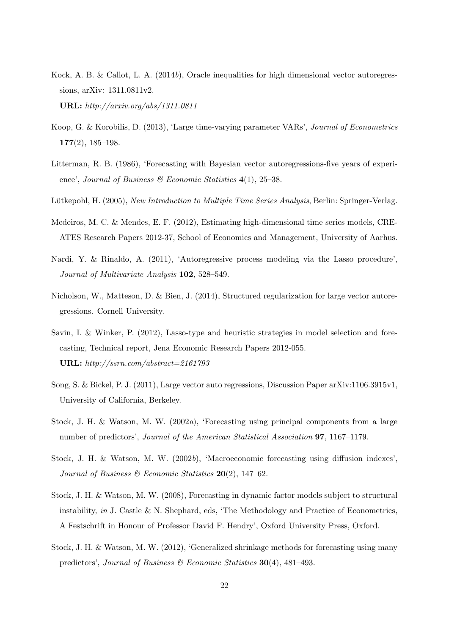Kock, A. B. & Callot, L. A.  $(2014b)$ , Oracle inequalities for high dimensional vector autoregressions, arXiv: 1311.0811v2.

URL: http://arxiv.org/abs/1311.0811

- Koop, G. & Korobilis, D. (2013), 'Large time-varying parameter VARs', Journal of Econometrics  $177(2)$ , 185-198.
- Litterman, R. B. (1986), 'Forecasting with Bayesian vector autoregressions-five years of experience', Journal of Business  $\mathcal C$  Economic Statistics 4(1), 25–38.
- Lütkepohl, H. (2005), New Introduction to Multiple Time Series Analysis, Berlin: Springer-Verlag.
- Medeiros, M. C. & Mendes, E. F. (2012), Estimating high-dimensional time series models, CRE-ATES Research Papers 2012-37, School of Economics and Management, University of Aarhus.
- Nardi, Y. & Rinaldo, A. (2011), 'Autoregressive process modeling via the Lasso procedure', Journal of Multivariate Analysis 102, 528–549.
- Nicholson, W., Matteson, D. & Bien, J. (2014), Structured regularization for large vector autoregressions. Cornell University.
- Savin, I. & Winker, P. (2012), Lasso-type and heuristic strategies in model selection and forecasting, Technical report, Jena Economic Research Papers 2012-055. URL: http://ssrn.com/abstract=2161793
- Song, S. & Bickel, P. J. (2011), Large vector auto regressions, Discussion Paper arXiv:1106.3915v1, University of California, Berkeley.
- Stock, J. H. & Watson, M. W. (2002a), 'Forecasting using principal components from a large number of predictors', Journal of the American Statistical Association 97, 1167–1179.
- Stock, J. H. & Watson, M. W. (2002b), 'Macroeconomic forecasting using diffusion indexes', Journal of Business & Economic Statistics  $20(2)$ , 147-62.
- Stock, J. H. & Watson, M. W. (2008), Forecasting in dynamic factor models subject to structural instability, in J. Castle & N. Shephard, eds, 'The Methodology and Practice of Econometrics, A Festschrift in Honour of Professor David F. Hendry', Oxford University Press, Oxford.
- Stock, J. H. & Watson, M. W. (2012), 'Generalized shrinkage methods for forecasting using many predictors', Journal of Business & Economic Statistics  $30(4)$ ,  $481-493$ .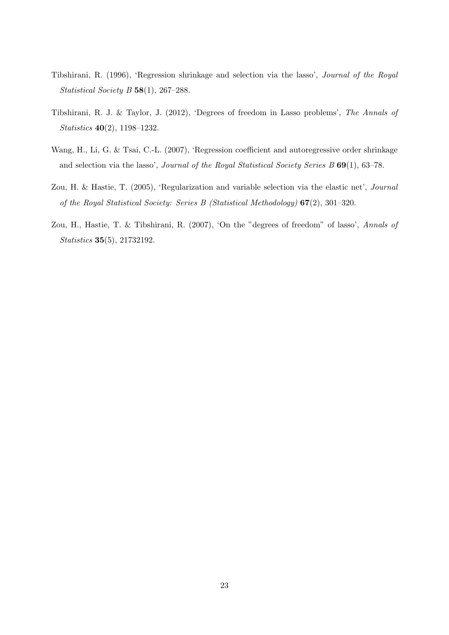- Tibshirani, R. (1996), 'Regression shrinkage and selection via the lasso', Journal of the Royal Statistical Society B  $58(1)$ , 267-288.
- Tibshirani, R. J. & Taylor, J. (2012), 'Degrees of freedom in Lasso problems', The Annals of Statistics 40(2), 1198–1232.
- Wang, H., Li, G. & Tsai, C.-L. (2007), 'Regression coefficient and autoregressive order shrinkage and selection via the lasso', Journal of the Royal Statistical Society Series B 69(1), 63-78.
- Zou, H. & Hastie, T. (2005), 'Regularization and variable selection via the elastic net', Journal of the Royal Statistical Society: Series B (Statistical Methodology) 67(2), 301–320.
- Zou, H., Hastie, T. & Tibshirani, R. (2007), 'On the "degrees of freedom" of lasso', Annals of Statistics 35(5), 21732192.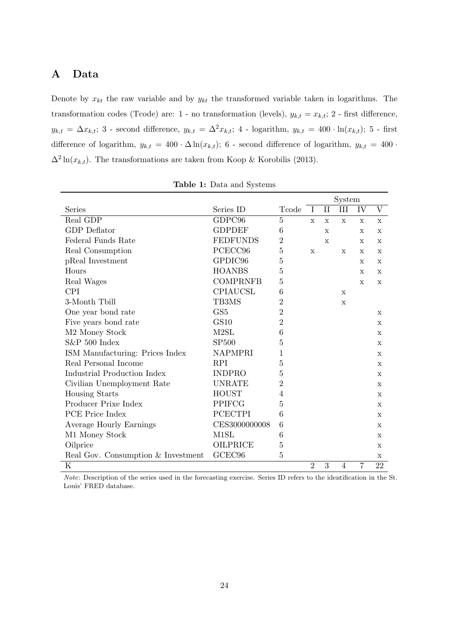# A Data

Denote by  $x_{kt}$  the raw variable and by  $y_{kt}$  the transformed variable taken in logarithms. The transformation codes (Tcode) are: 1 - no transformation (levels),  $y_{k,t} = x_{k,t}$ ; 2 - first difference,  $y_{k,t} = \Delta x_{k,t}$ ; 3 - second difference,  $y_{k,t} = \Delta^2 x_{k,t}$ ; 4 - logarithm,  $y_{k,t} = 400 \cdot \ln(x_{k,t})$ ; 5 - first difference of logarithm,  $y_{k,t} = 400 \cdot \Delta \ln(x_{k,t})$ ; 6 - second difference of logarithm,  $y_{k,t} = 400 \cdot \Delta \ln(x_{k,t})$  $\Delta^2 \ln(x_{k,t})$ . The transformations are taken from Koop & Korobilis (2013).

|                                    |                    |                 |                |              | System      |              |              |
|------------------------------------|--------------------|-----------------|----------------|--------------|-------------|--------------|--------------|
| Series                             | Series ID          | Tcode           | Ι              | $_{\rm II}$  | III         | IV           | V            |
| Real GDP                           | GDPC96             | $\overline{5}$  | $\mathbf x$    | $\mathbf x$  | X           | $\mathbf x$  | X            |
| GDP Deflator                       | <b>GDPDEF</b>      | 6               |                | $\mathbf{x}$ |             | $\mathbf x$  | $\mathbf x$  |
| Federal Funds Rate                 | <b>FEDFUNDS</b>    | $\overline{2}$  |                | $\mathbf{x}$ |             | $\mathbf{x}$ | X            |
| Real Consumption                   | PCECC96            | 5               | $\mathbf x$    |              | $\mathbf x$ | $\mathbf x$  | $\mathbf x$  |
| pReal Investment                   | GPDIC96            | 5               |                |              |             | $\mathbf x$  | $\mathbf x$  |
| Hours                              | <b>HOANBS</b>      | $\overline{5}$  |                |              |             | X            | X            |
| Real Wages                         | <b>COMPRNFB</b>    | $\overline{5}$  |                |              |             | $\mathbf x$  | $\mathbf x$  |
| <b>CPI</b>                         | CPIAUCSL           | 6               |                |              | X           |              |              |
| 3-Month Tbill                      | TB3MS              | $\overline{2}$  |                |              | X           |              |              |
| One year bond rate                 | GS <sub>5</sub>    | $\overline{2}$  |                |              |             |              | X            |
| Five years bond rate               | <b>GS10</b>        | $\overline{2}$  |                |              |             |              | X            |
| M <sub>2</sub> Money Stock         | M2SL               | $6\phantom{.}6$ |                |              |             |              | X            |
| $S\&P500$ Index                    | <b>SP500</b>       | 5               |                |              |             |              | $\mathbf x$  |
| ISM Manufacturing: Prices Index    | <b>NAPMPRI</b>     | 1               |                |              |             |              | $\mathbf x$  |
| Real Personal Income               | <b>RPI</b>         | $\overline{5}$  |                |              |             |              | $\mathbf x$  |
| <b>Industrial Production Index</b> | <b>INDPRO</b>      | $\overline{5}$  |                |              |             |              | X            |
| Civilian Unemployment Rate         | <b>UNRATE</b>      | $\overline{2}$  |                |              |             |              | X            |
| <b>Housing Starts</b>              | <b>HOUST</b>       | $\overline{4}$  |                |              |             |              | $\mathbf x$  |
| Producer Prixe Index               | PPIFCG             | 5               |                |              |             |              | X            |
| PCE Price Index                    | <b>PCECTPI</b>     | 6               |                |              |             |              | X            |
| Average Hourly Earnings            | CES3000000008      | 6               |                |              |             |              | X            |
| M1 Money Stock                     | M <sub>1</sub> SL  | 6               |                |              |             |              | $\mathbf{x}$ |
| Oilprice                           | <b>OILPRICE</b>    | $\overline{5}$  |                |              |             |              | X            |
| Real Gov. Consumption & Investment | GCEC <sub>96</sub> | $\overline{5}$  |                |              |             |              | $\mathbf X$  |
| $\rm K$                            |                    |                 | $\overline{2}$ | 3            | 4           | 7            | 22           |

Table 1: Data and Systems

Note: Description of the series used in the forecasting exercise. Series ID refers to the identification in the St. Louis' FRED database.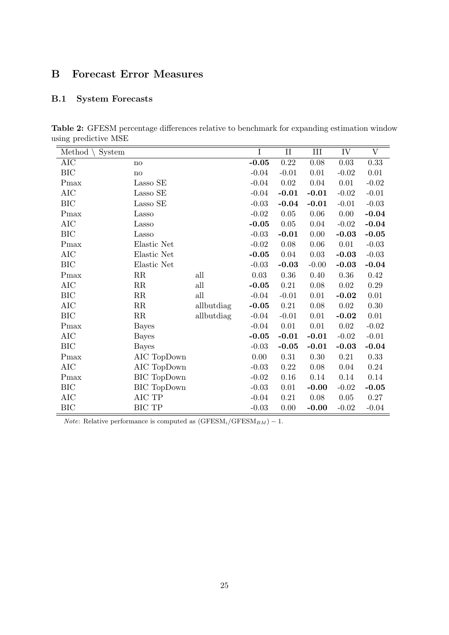# B Forecast Error Measures

# B.1 System Forecasts

|                      | <b>Table 2:</b> GFESM percentage differences relative to benchmark for expanding estimation window |  |  |  |  |
|----------------------|----------------------------------------------------------------------------------------------------|--|--|--|--|
| using predictive MSE |                                                                                                    |  |  |  |  |

| οг               |                            |                             |                |          |           |          |                         |
|------------------|----------------------------|-----------------------------|----------------|----------|-----------|----------|-------------------------|
| Method<br>System |                            |                             | $\overline{I}$ | $\rm II$ | $\rm III$ | IV       | $\overline{\mathrm{V}}$ |
| AIC              | $\mathop{\rm no}\nolimits$ |                             | $-0.05$        | 0.22     | $0.08\,$  | $0.03\,$ | $0.33\,$                |
| BIC              | no                         |                             | $-0.04$        | $-0.01$  | 0.01      | $-0.02$  | 0.01                    |
| Pmax             | Lasso SE                   |                             | $-0.04$        | 0.02     | 0.04      | 0.01     | $-0.02$                 |
| <b>AIC</b>       | Lasso SE                   |                             | $-0.04$        | $-0.01$  | $-0.01$   | $-0.02$  | $-0.01$                 |
| BIC              | Lasso SE                   |                             | $-0.03$        | $-0.04$  | $-0.01$   | $-0.01$  | $-0.03$                 |
| Pmax             | Lasso                      |                             | $-0.02$        | 0.05     | 0.06      | 0.00     | $-0.04$                 |
| AIC              | Lasso                      |                             | $-0.05$        | 0.05     | $0.04\,$  | $-0.02$  | $-0.04$                 |
| BIC              | Lasso                      |                             | $-0.03$        | $-0.01$  | 0.00      | $-0.03$  | $-0.05$                 |
| Pmax             | Elastic Net                |                             | $-0.02$        | 0.08     | 0.06      | $0.01\,$ | $-0.03$                 |
| AIC              | Elastic Net                |                             | $-0.05$        | 0.04     | 0.03      | $-0.03$  | $-0.03$                 |
| <b>BIC</b>       | Elastic Net                |                             | $-0.03$        | $-0.03$  | $-0.00$   | $-0.03$  | $-0.04$                 |
| Pmax             | $\rm RR$                   | all                         | 0.03           | 0.36     | 0.40      | 0.36     | 0.42                    |
| AIC              | $\rm RR$                   | $\operatorname{all}$        | $-0.05$        | 0.21     | $0.08\,$  | 0.02     | $0.29\,$                |
| BIC              | $\rm RR$                   | $\mathop{\rm all}\nolimits$ | $-0.04$        | $-0.01$  | $0.01\,$  | $-0.02$  | $0.01\,$                |
| AIC              | $\rm RR$                   | allbutdiag                  | $-0.05$        | 0.21     | $0.08\,$  | $0.02\,$ | $0.30\,$                |
| BIC              | $\rm RR$                   | allbutdiag                  | $-0.04$        | $-0.01$  | 0.01      | $-0.02$  | 0.01                    |
| Pmax             | <b>Bayes</b>               |                             | $-0.04$        | 0.01     | 0.01      | 0.02     | $-0.02$                 |
| AIC              | <b>Bayes</b>               |                             | $-0.05$        | $-0.01$  | $-0.01$   | $-0.02$  | $-0.01$                 |
| <b>BIC</b>       | <b>Bayes</b>               |                             | $-0.03$        | $-0.05$  | $-0.01$   | $-0.03$  | $-0.04$                 |
| Pmax             | AIC TopDown                |                             | 0.00           | 0.31     | $0.30\,$  | 0.21     | 0.33                    |
| AIC              | AIC TopDown                |                             | $-0.03$        | 0.22     | $0.08\,$  | 0.04     | 0.24                    |
| Pmax             | <b>BIC</b> TopDown         |                             | $-0.02$        | 0.16     | 0.14      | 0.14     | $0.14\,$                |
| BIC              | <b>BIC</b> TopDown         |                             | $-0.03$        | 0.01     | $-0.00$   | $-0.02$  | $-0.05$                 |
| AIC              | $\rm AIC$ $\rm TP$         |                             | $-0.04$        | 0.21     | 0.08      | 0.05     | 0.27                    |
| <b>BIC</b>       | <b>BIC TP</b>              |                             | $-0.03$        | 0.00     | $-0.00$   | $-0.02$  | $-0.04$                 |

*Note*: Relative performance is computed as  $(GFESM_i/GFESM_{BM}) - 1$ .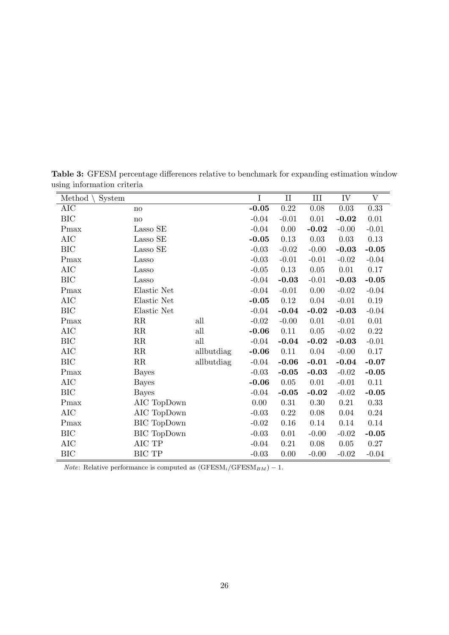| Method<br>System |                    |            | I       | $\rm II$ | III     | IV       | $\mathbf V$ |
|------------------|--------------------|------------|---------|----------|---------|----------|-------------|
| AIC              | no                 |            | $-0.05$ | $0.22\,$ | 0.08    | $0.03\,$ | 0.33        |
| <b>BIC</b>       | no                 |            | $-0.04$ | $-0.01$  | 0.01    | $-0.02$  | 0.01        |
| Pmax             | Lasso SE           |            | $-0.04$ | 0.00     | $-0.02$ | $-0.00$  | $-0.01$     |
| <b>AIC</b>       | Lasso SE           |            | $-0.05$ | 0.13     | 0.03    | 0.03     | 0.13        |
| <b>BIC</b>       | Lasso SE           |            | $-0.03$ | $-0.02$  | $-0.00$ | $-0.03$  | $-0.05$     |
| Pmax             | Lasso              |            | $-0.03$ | $-0.01$  | $-0.01$ | $-0.02$  | $-0.04$     |
| AIC              | Lasso              |            | $-0.05$ | 0.13     | 0.05    | 0.01     | 0.17        |
| BIC              | Lasso              |            | $-0.04$ | $-0.03$  | $-0.01$ | $-0.03$  | $-0.05$     |
| Pmax             | Elastic Net        |            | $-0.04$ | $-0.01$  | 0.00    | $-0.02$  | $-0.04$     |
| <b>AIC</b>       | Elastic Net        |            | $-0.05$ | 0.12     | 0.04    | $-0.01$  | 0.19        |
| <b>BIC</b>       | Elastic Net        |            | $-0.04$ | $-0.04$  | $-0.02$ | $-0.03$  | $-0.04$     |
| Pmax             | $_{\rm RR}$        | all        | $-0.02$ | $-0.00$  | 0.01    | $-0.01$  | 0.01        |
| <b>AIC</b>       | RR                 | all        | $-0.06$ | 0.11     | 0.05    | $-0.02$  | 0.22        |
| BIC              | RR                 | all        | $-0.04$ | $-0.04$  | $-0.02$ | $-0.03$  | $-0.01$     |
| AIC              | RR                 | allbutdiag | $-0.06$ | 0.11     | 0.04    | $-0.00$  | 0.17        |
| <b>BIC</b>       | RR                 | allbutdiag | $-0.04$ | $-0.06$  | $-0.01$ | $-0.04$  | $-0.07$     |
| Pmax             | <b>Bayes</b>       |            | $-0.03$ | $-0.05$  | $-0.03$ | $-0.02$  | $-0.05$     |
| AIC              | <b>Bayes</b>       |            | $-0.06$ | $0.05\,$ | 0.01    | $-0.01$  | 0.11        |
| <b>BIC</b>       | <b>Bayes</b>       |            | $-0.04$ | $-0.05$  | $-0.02$ | $-0.02$  | $-0.05$     |
| Pmax             | AIC TopDown        |            | 0.00    | 0.31     | 0.30    | 0.21     | 0.33        |
| AIC              | AIC TopDown        |            | $-0.03$ | 0.22     | 0.08    | 0.04     | 0.24        |
| Pmax             | <b>BIC</b> TopDown |            | $-0.02$ | 0.16     | 0.14    | 0.14     | 0.14        |
| <b>BIC</b>       | BIC TopDown        |            | $-0.03$ | 0.01     | $-0.00$ | $-0.02$  | $-0.05$     |
| <b>AIC</b>       | $\rm AIC$ $\rm TP$ |            | $-0.04$ | 0.21     | 0.08    | $0.05\,$ | 0.27        |
| BIC              | BIC TP             |            | $-0.03$ | 0.00     | $-0.00$ | $-0.02$  | $-0.04$     |

Table 3: GFESM percentage differences relative to benchmark for expanding estimation window using information criteria

*Note*: Relative performance is computed as  $(GFESM_i/GFESM_{BM}) - 1$ .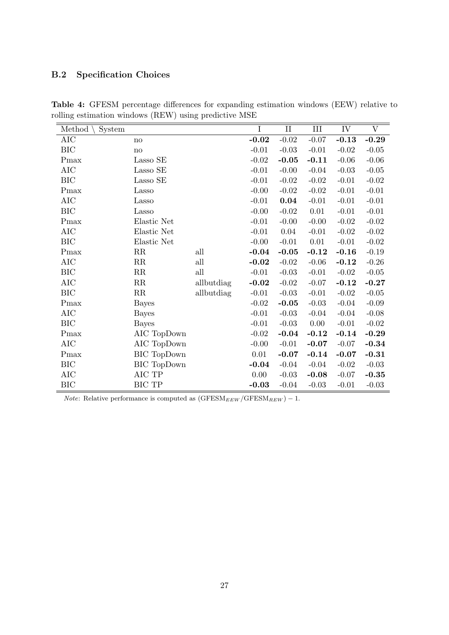# B.2 Specification Choices

| Method<br>System |                       |            | $\mathbf I$ | $\rm II$ | III     | IV      | $\rm{V}$ |
|------------------|-----------------------|------------|-------------|----------|---------|---------|----------|
| AIC              | no                    |            | $-0.02$     | $-0.02$  | $-0.07$ | $-0.13$ | $-0.29$  |
| <b>BIC</b>       | no                    |            | $-0.01$     | $-0.03$  | $-0.01$ | $-0.02$ | $-0.05$  |
| Pmax             | Lasso SE              |            | $-0.02$     | $-0.05$  | $-0.11$ | $-0.06$ | $-0.06$  |
| AIC              | Lasso SE              |            | $-0.01$     | $-0.00$  | $-0.04$ | $-0.03$ | $-0.05$  |
| <b>BIC</b>       | Lasso SE              |            | $-0.01$     | $-0.02$  | $-0.02$ | $-0.01$ | $-0.02$  |
| Pmax             | Lasso                 |            | $-0.00$     | $-0.02$  | $-0.02$ | $-0.01$ | $-0.01$  |
| AIC              | Lasso                 |            | $-0.01$     | 0.04     | $-0.01$ | $-0.01$ | $-0.01$  |
| <b>BIC</b>       | Lasso                 |            | $-0.00$     | $-0.02$  | 0.01    | $-0.01$ | $-0.01$  |
| Pmax             | Elastic Net           |            | $-0.01$     | $-0.00$  | $-0.00$ | $-0.02$ | $-0.02$  |
| AIC              | Elastic Net           |            | $-0.01$     | 0.04     | $-0.01$ | $-0.02$ | $-0.02$  |
| <b>BIC</b>       | Elastic Net           |            | $-0.00$     | $-0.01$  | 0.01    | $-0.01$ | $-0.02$  |
| Pmax             | RR                    | all        | $-0.04$     | $-0.05$  | $-0.12$ | $-0.16$ | $-0.19$  |
| AIC              | RR                    | all        | $-0.02$     | $-0.02$  | $-0.06$ | $-0.12$ | $-0.26$  |
| <b>BIC</b>       | RR                    | all        | $-0.01$     | $-0.03$  | $-0.01$ | $-0.02$ | $-0.05$  |
| AIC              | RR                    | allbutdiag | $-0.02$     | $-0.02$  | $-0.07$ | $-0.12$ | $-0.27$  |
| BIC              | RR                    | allbutdiag | $-0.01$     | $-0.03$  | $-0.01$ | $-0.02$ | $-0.05$  |
| Pmax             | Bayes                 |            | $-0.02$     | $-0.05$  | $-0.03$ | $-0.04$ | $-0.09$  |
| AIC              | Bayes                 |            | $-0.01$     | $-0.03$  | $-0.04$ | $-0.04$ | $-0.08$  |
| <b>BIC</b>       | <b>Bayes</b>          |            | $-0.01$     | $-0.03$  | 0.00    | $-0.01$ | $-0.02$  |
| Pmax             | AIC TopDown           |            | $-0.02$     | $-0.04$  | $-0.12$ | $-0.14$ | $-0.29$  |
| AIC              | AIC TopDown           |            | $-0.00$     | $-0.01$  | $-0.07$ | $-0.07$ | $-0.34$  |
| Pmax             | BIC TopDown           |            | 0.01        | $-0.07$  | $-0.14$ | $-0.07$ | $-0.31$  |
| <b>BIC</b>       | $\rm BIC$ Top<br>Down |            | $-0.04$     | $-0.04$  | $-0.04$ | $-0.02$ | $-0.03$  |
| AIC              | AIC TP                |            | 0.00        | $-0.03$  | $-0.08$ | $-0.07$ | $-0.35$  |
| BIC              | BIC TP                |            | $-0.03$     | $-0.04$  | $-0.03$ | $-0.01$ | $-0.03$  |

Table 4: GFESM percentage differences for expanding estimation windows (EEW) relative to rolling estimation windows (REW) using predictive MSE

 $Note:$  Relative performance is computed as  $(\mathrm{GFESM}_{EEW}/\mathrm{GFESM}_{REV}) - 1.$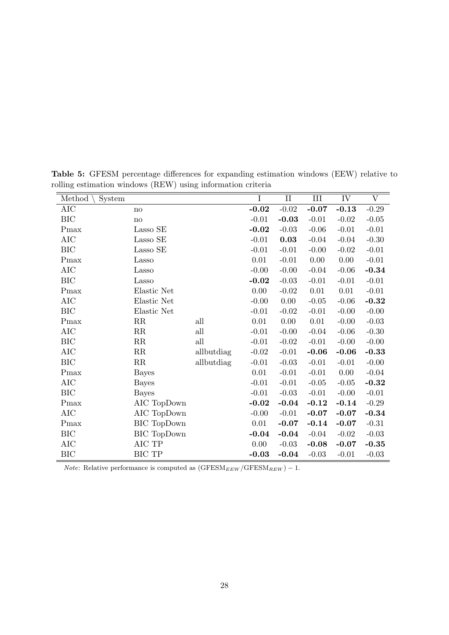| Method<br>System |                    |            | I        | $\rm II$ | III      | IV      | V       |
|------------------|--------------------|------------|----------|----------|----------|---------|---------|
| <b>AIC</b>       | no                 |            | $-0.02$  | $-0.02$  | $-0.07$  | $-0.13$ | $-0.29$ |
| BIC              | no                 |            | $-0.01$  | $-0.03$  | $-0.01$  | $-0.02$ | $-0.05$ |
| Pmax             | Lasso SE           |            | $-0.02$  | $-0.03$  | $-0.06$  | $-0.01$ | $-0.01$ |
| AIC              | Lasso SE           |            | $-0.01$  | 0.03     | $-0.04$  | $-0.04$ | $-0.30$ |
| <b>BIC</b>       | Lasso SE           |            | $-0.01$  | $-0.01$  | $-0.00$  | $-0.02$ | $-0.01$ |
| Pmax             | Lasso              |            | $0.01\,$ | $-0.01$  | $0.00\,$ | 0.00    | $-0.01$ |
| AIC              | Lasso              |            | $-0.00$  | $-0.00$  | $-0.04$  | $-0.06$ | $-0.34$ |
| <b>BIC</b>       | Lasso              |            | $-0.02$  | $-0.03$  | $-0.01$  | $-0.01$ | $-0.01$ |
| Pmax             | Elastic Net        |            | $0.00\,$ | $-0.02$  | $0.01\,$ | 0.01    | $-0.01$ |
| AIC              | Elastic Net        |            | $-0.00$  | 0.00     | $-0.05$  | $-0.06$ | $-0.32$ |
| BIC              | Elastic Net        |            | $-0.01$  | $-0.02$  | $-0.01$  | $-0.00$ | $-0.00$ |
| Pmax             | $\rm RR$           | all        | 0.01     | 0.00     | 0.01     | $-0.00$ | $-0.03$ |
| AIC              | RR                 | all        | $-0.01$  | $-0.00$  | $-0.04$  | $-0.06$ | $-0.30$ |
| BIC              | RR                 | all        | $-0.01$  | $-0.02$  | $-0.01$  | $-0.00$ | $-0.00$ |
| AIC              | RR                 | allbutdiag | $-0.02$  | $-0.01$  | $-0.06$  | $-0.06$ | $-0.33$ |
| BIC              | RR                 | allbutdiag | $-0.01$  | $-0.03$  | $-0.01$  | $-0.01$ | $-0.00$ |
| Pmax             | <b>Bayes</b>       |            | 0.01     | $-0.01$  | $-0.01$  | 0.00    | $-0.04$ |
| AIC              | <b>Bayes</b>       |            | $-0.01$  | $-0.01$  | $-0.05$  | $-0.05$ | $-0.32$ |
| BIC              | <b>Bayes</b>       |            | $-0.01$  | $-0.03$  | $-0.01$  | $-0.00$ | $-0.01$ |
| Pmax             | AIC TopDown        |            | $-0.02$  | $-0.04$  | $-0.12$  | $-0.14$ | $-0.29$ |
| AIC              | AIC TopDown        |            | $-0.00$  | $-0.01$  | $-0.07$  | $-0.07$ | $-0.34$ |
| Pmax             | <b>BIC</b> TopDown |            | $0.01\,$ | $-0.07$  | $-0.14$  | $-0.07$ | $-0.31$ |
| BIC              | <b>BIC</b> TopDown |            | $-0.04$  | $-0.04$  | $-0.04$  | $-0.02$ | $-0.03$ |
| <b>AIC</b>       | AIC TP             |            | $0.00\,$ | $-0.03$  | $-0.08$  | $-0.07$ | $-0.35$ |
| <b>BIC</b>       | <b>BIC TP</b>      |            | $-0.03$  | $-0.04$  | $-0.03$  | $-0.01$ | $-0.03$ |

Table 5: GFESM percentage differences for expanding estimation windows (EEW) relative to rolling estimation windows (REW) using information criteria

*Note*: Relative performance is computed as  $(GFESM_{EEW}/GFESM_{REW}) - 1$ .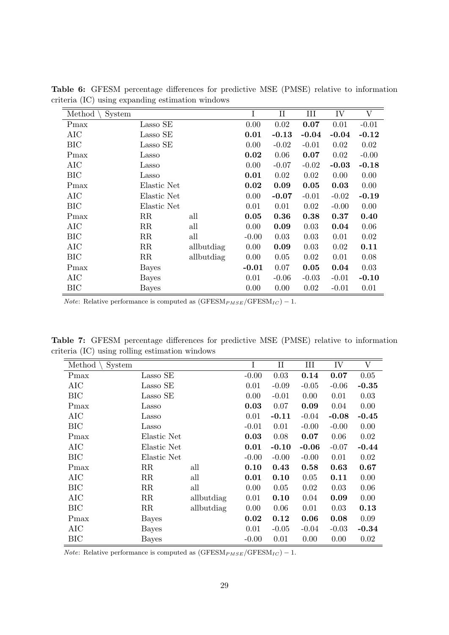| Method<br>System |             |            | I       | $\rm II$ | III     | IV      | V       |
|------------------|-------------|------------|---------|----------|---------|---------|---------|
| Pmax             | Lasso SE    |            | 0.00    | 0.02     | 0.07    | 0.01    | $-0.01$ |
| AIC              | Lasso SE    |            | 0.01    | $-0.13$  | $-0.04$ | $-0.04$ | $-0.12$ |
| BIC              | Lasso SE    |            | 0.00    | $-0.02$  | $-0.01$ | 0.02    | 0.02    |
| Pmax             | Lasso       |            | 0.02    | 0.06     | 0.07    | 0.02    | $-0.00$ |
| AIC              | Lasso       |            | 0.00    | $-0.07$  | $-0.02$ | $-0.03$ | $-0.18$ |
| BIC              | Lasso       |            | 0.01    | 0.02     | 0.02    | 0.00    | 0.00    |
| Pmax             | Elastic Net |            | 0.02    | 0.09     | 0.05    | 0.03    | 0.00    |
| AIC              | Elastic Net |            | 0.00    | $-0.07$  | $-0.01$ | $-0.02$ | $-0.19$ |
| <b>BIC</b>       | Elastic Net |            | 0.01    | 0.01     | 0.02    | $-0.00$ | 0.00    |
| Pmax             | $_{\rm RR}$ | all        | 0.05    | 0.36     | 0.38    | 0.37    | 0.40    |
| AIC              | $_{\rm RR}$ | all        | 0.00    | 0.09     | 0.03    | 0.04    | 0.06    |
| <b>BIC</b>       | RR          | all        | $-0.00$ | 0.03     | 0.03    | 0.01    | 0.02    |
| <b>AIC</b>       | $_{\rm RR}$ | allbutdiag | 0.00    | 0.09     | 0.03    | 0.02    | 0.11    |
| <b>BIC</b>       | RR          | allbutdiag | 0.00    | 0.05     | 0.02    | 0.01    | 0.08    |
| Pmax             | Bayes       |            | $-0.01$ | 0.07     | 0.05    | 0.04    | 0.03    |
| AIC              | Bayes       |            | 0.01    | $-0.06$  | $-0.03$ | $-0.01$ | $-0.10$ |
| BIC              | Bayes       |            | 0.00    | 0.00     | 0.02    | $-0.01$ | 0.01    |

Table 6: GFESM percentage differences for predictive MSE (PMSE) relative to information criteria (IC) using expanding estimation windows

*Note*: Relative performance is computed as  $(GFESM_{PMSE}/GFESM_{IC}) - 1$ .

Table 7: GFESM percentage differences for predictive MSE (PMSE) relative to information criteria (IC) using rolling estimation windows

| Method<br>System |              |            | $\mathbf I$ | $\mathbf{I}$ | III     | IV      | V       |
|------------------|--------------|------------|-------------|--------------|---------|---------|---------|
| Pmax             | Lasso SE     |            | $-0.00$     | 0.03         | 0.14    | 0.07    | 0.05    |
| AIC              | Lasso SE     |            | 0.01        | $-0.09$      | $-0.05$ | $-0.06$ | $-0.35$ |
| ВIС              | Lasso SE     |            | 0.00        | $-0.01$      | 0.00    | 0.01    | 0.03    |
| Pmax             | Lasso        |            | 0.03        | 0.07         | 0.09    | 0.04    | 0.00    |
| AIC              | Lasso        |            | 0.01        | $-0.11$      | $-0.04$ | $-0.08$ | $-0.45$ |
| <b>BIC</b>       | Lasso        |            | $-0.01$     | 0.01         | $-0.00$ | $-0.00$ | 0.00    |
| Pmax             | Elastic Net  |            | 0.03        | 0.08         | 0.07    | 0.06    | 0.02    |
| AIC              | Elastic Net  |            | 0.01        | $-0.10$      | $-0.06$ | $-0.07$ | $-0.44$ |
| <b>BIC</b>       | Elastic Net  |            | $-0.00$     | $-0.00$      | $-0.00$ | 0.01    | 0.02    |
| Pmax             | $_{\rm RR}$  | all        | 0.10        | 0.43         | 0.58    | 0.63    | 0.67    |
| AIC              | RR           | all        | 0.01        | 0.10         | 0.05    | 0.11    | 0.00    |
| <b>BIC</b>       | RR           | all        | 0.00        | 0.05         | 0.02    | 0.03    | 0.06    |
| AIC              | RR           | allbutdiag | 0.01        | 0.10         | 0.04    | 0.09    | 0.00    |
| <b>BIC</b>       | RR           | allbutdiag | 0.00        | 0.06         | 0.01    | 0.03    | 0.13    |
| Pmax             | <b>Bayes</b> |            | 0.02        | 0.12         | 0.06    | 0.08    | 0.09    |
| AIC              | Bayes        |            | 0.01        | $-0.05$      | $-0.04$ | $-0.03$ | $-0.34$ |
| <b>BIC</b>       | <b>Bayes</b> |            | $-0.00$     | 0.01         | 0.00    | 0.00    | 0.02    |

*Note*: Relative performance is computed as  $(GFESM_{PMSE}/GFESM_{IC}) - 1$ .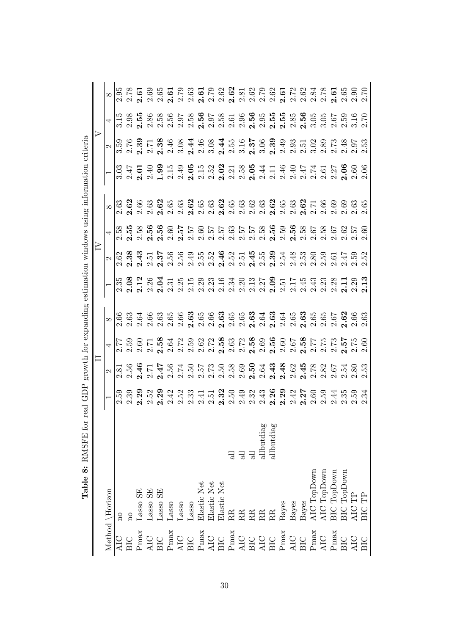|                 |                         |             |                |          |                |            |            |             |                                           |   |   |   |            |                                                                                                                                                                                        |  |  |  |  | ។ ជន ក្នុងបានបានបានបានបង្កាត់ ក្នុងបានបានបាន<br>។ ជន ក្នុងបានបានបានបានបានបានបានបានបានបានបានបា<br>។ ជន ក្នុងបានបានបានបានបានបានបានបានបានបានបា                                                     |
|-----------------|-------------------------|-------------|----------------|----------|----------------|------------|------------|-------------|-------------------------------------------|---|---|---|------------|----------------------------------------------------------------------------------------------------------------------------------------------------------------------------------------|--|--|--|--|-------------------------------------------------------------------------------------------------------------------------------------------------------------------------------------------------|
|                 |                         |             |                |          |                |            |            |             |                                           |   |   |   |            |                                                                                                                                                                                        |  |  |  |  |                                                                                                                                                                                                 |
|                 |                         |             |                |          |                |            |            |             |                                           |   |   |   |            |                                                                                                                                                                                        |  |  |  |  |                                                                                                                                                                                                 |
|                 |                         |             |                |          |                |            |            |             |                                           |   |   |   |            |                                                                                                                                                                                        |  |  |  |  |                                                                                                                                                                                                 |
|                 |                         |             |                |          |                |            |            |             |                                           |   |   |   |            |                                                                                                                                                                                        |  |  |  |  |                                                                                                                                                                                                 |
|                 |                         |             |                |          |                |            |            |             |                                           |   |   |   |            |                                                                                                                                                                                        |  |  |  |  | ្ត និង<br>ប្រុង អ្នក មានក្នុង ក្នុង ក្នុង ក្នុង ក្នុង ក្នុង ក្នុង ក្នុង ក្នុង<br>ប្រុង ក្នុង ក្នុង ក្នុង ក្នុង ក្នុង ក្នុង ក្នុង ក្នុង ក្នុង ក្នុង ក្នុង ក្នុង ក្នុង ក្នុង ក្នុង ក្នុង ក្នុង ក្ |
|                 |                         |             |                |          |                |            |            |             |                                           |   |   |   |            |                                                                                                                                                                                        |  |  |  |  |                                                                                                                                                                                                 |
|                 |                         |             |                |          |                |            |            |             |                                           |   |   |   |            |                                                                                                                                                                                        |  |  |  |  |                                                                                                                                                                                                 |
|                 |                         |             |                |          |                |            |            |             |                                           |   |   |   |            |                                                                                                                                                                                        |  |  |  |  |                                                                                                                                                                                                 |
|                 |                         |             |                |          |                |            |            |             |                                           |   |   |   |            |                                                                                                                                                                                        |  |  |  |  |                                                                                                                                                                                                 |
|                 |                         |             |                |          |                |            |            |             |                                           |   |   |   |            |                                                                                                                                                                                        |  |  |  |  |                                                                                                                                                                                                 |
|                 |                         |             |                |          |                |            |            |             |                                           | 긍 | 긍 | 급 | allbutdiag | allbutdiag                                                                                                                                                                             |  |  |  |  |                                                                                                                                                                                                 |
| Method \Horizon | $\overline{\mathbf{n}}$ | $\rm ^{10}$ | $\rm Lasso$ SE | Lasso SE | $\rm Lasso$ SE | $\rm Laso$ | $\rm Laso$ | $\rm Lasso$ | Elastic Net<br>Elastic Net<br>Elastic Net |   |   |   |            | $\begin{array}{ll} \text{RR} \\ \text{RR} \\ \text{RR} \\ \text{RR} \\ \text{Bayes} \\ \text{Bayes} \\ \text{Bayes} \\ \text{Bayes} \\ \text{Bayes} \\ \text{AlC TopDown} \end{array}$ |  |  |  |  | AIC TopDown<br>BIC TopDown<br>BIC TopDown<br>AIC TP<br>BIC TP                                                                                                                                   |
|                 |                         | AIC<br>BIC  |                |          |                |            |            |             |                                           |   |   |   |            |                                                                                                                                                                                        |  |  |  |  |                                                                                                                                                                                                 |

 $\ddot{\cdot}$  $\ddot{ }$  $\epsilon$  $\frac{1}{2}$  $1$   $CDD$ DATOTE C  $\dot{\circ}$  $T_{\rm ch}$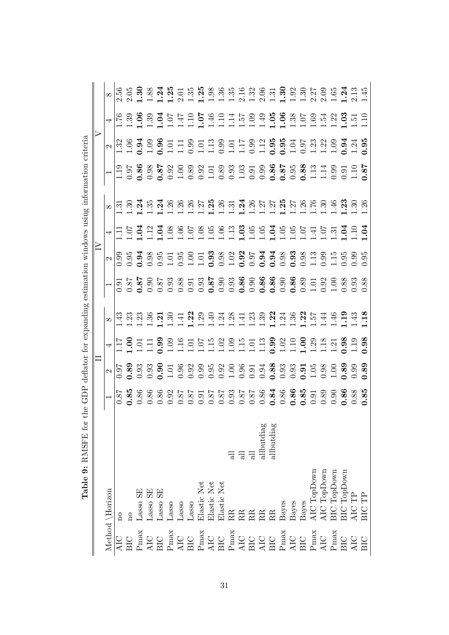| Method \Horizon                                               |            |  |                                                                                                                                                                                                                                                                                                                     |  |  |  |                                                                                                                                                                                                                                   |          |
|---------------------------------------------------------------|------------|--|---------------------------------------------------------------------------------------------------------------------------------------------------------------------------------------------------------------------------------------------------------------------------------------------------------------------|--|--|--|-----------------------------------------------------------------------------------------------------------------------------------------------------------------------------------------------------------------------------------|----------|
| $\overline{\mathrm{n}}$                                       |            |  |                                                                                                                                                                                                                                                                                                                     |  |  |  |                                                                                                                                                                                                                                   |          |
| $\overline{n}$                                                |            |  |                                                                                                                                                                                                                                                                                                                     |  |  |  |                                                                                                                                                                                                                                   |          |
| Lasso SE                                                      |            |  |                                                                                                                                                                                                                                                                                                                     |  |  |  |                                                                                                                                                                                                                                   |          |
| Lasso SE                                                      |            |  |                                                                                                                                                                                                                                                                                                                     |  |  |  |                                                                                                                                                                                                                                   |          |
| Lasso SE                                                      |            |  |                                                                                                                                                                                                                                                                                                                     |  |  |  |                                                                                                                                                                                                                                   |          |
| Lasso                                                         |            |  |                                                                                                                                                                                                                                                                                                                     |  |  |  |                                                                                                                                                                                                                                   |          |
| $\rm Lasso$                                                   |            |  |                                                                                                                                                                                                                                                                                                                     |  |  |  |                                                                                                                                                                                                                                   |          |
| Lasso                                                         |            |  |                                                                                                                                                                                                                                                                                                                     |  |  |  |                                                                                                                                                                                                                                   |          |
| Elastic Net                                                   |            |  |                                                                                                                                                                                                                                                                                                                     |  |  |  |                                                                                                                                                                                                                                   |          |
| Elastic Net                                                   |            |  |                                                                                                                                                                                                                                                                                                                     |  |  |  |                                                                                                                                                                                                                                   |          |
| Elastic Net                                                   |            |  |                                                                                                                                                                                                                                                                                                                     |  |  |  |                                                                                                                                                                                                                                   |          |
|                                                               | 급          |  |                                                                                                                                                                                                                                                                                                                     |  |  |  |                                                                                                                                                                                                                                   |          |
|                                                               | 급          |  |                                                                                                                                                                                                                                                                                                                     |  |  |  |                                                                                                                                                                                                                                   |          |
| EEEEEE                                                        | 듾          |  | $\infty$  <br>$\frac{1}{11}$ $\frac{1}{11}$ $\frac{1}{11}$ $\frac{1}{11}$ $\frac{1}{11}$ $\frac{1}{11}$ $\frac{1}{11}$ $\frac{1}{11}$ $\frac{1}{11}$ $\frac{1}{11}$ $\frac{1}{11}$ $\frac{1}{11}$ $\frac{1}{11}$ $\frac{1}{11}$ $\frac{1}{11}$ $\frac{1}{11}$ $\frac{1}{11}$ $\frac{1}{11}$ $\frac{1}{11}$ $\frac{$ |  |  |  | The second control and the second second and the second second second second second second second second second<br>The second second second second second second second second second second second second second second second s | $\infty$ |
|                                                               | allbutdiag |  |                                                                                                                                                                                                                                                                                                                     |  |  |  |                                                                                                                                                                                                                                   |          |
|                                                               | allbutdiag |  |                                                                                                                                                                                                                                                                                                                     |  |  |  |                                                                                                                                                                                                                                   |          |
|                                                               |            |  |                                                                                                                                                                                                                                                                                                                     |  |  |  |                                                                                                                                                                                                                                   |          |
| Bayes<br>Bayes<br>Bayes                                       |            |  |                                                                                                                                                                                                                                                                                                                     |  |  |  |                                                                                                                                                                                                                                   |          |
|                                                               |            |  |                                                                                                                                                                                                                                                                                                                     |  |  |  |                                                                                                                                                                                                                                   |          |
| AIC TopDown                                                   |            |  |                                                                                                                                                                                                                                                                                                                     |  |  |  |                                                                                                                                                                                                                                   |          |
| AIC TopDown<br>BIC TopDown<br>BIC TopDown<br>AIC TP<br>BIC TP |            |  |                                                                                                                                                                                                                                                                                                                     |  |  |  |                                                                                                                                                                                                                                   |          |
|                                                               |            |  |                                                                                                                                                                                                                                                                                                                     |  |  |  |                                                                                                                                                                                                                                   |          |
|                                                               |            |  |                                                                                                                                                                                                                                                                                                                     |  |  |  |                                                                                                                                                                                                                                   |          |
|                                                               |            |  |                                                                                                                                                                                                                                                                                                                     |  |  |  |                                                                                                                                                                                                                                   |          |
|                                                               |            |  |                                                                                                                                                                                                                                                                                                                     |  |  |  |                                                                                                                                                                                                                                   |          |

 $\frac{1}{\sqrt{2}}$  $\ddot{\phantom{0}}$  $CDD1.0$  $\frac{1}{4}$ DACED fo  $T<sub>ablo</sub>$  0.